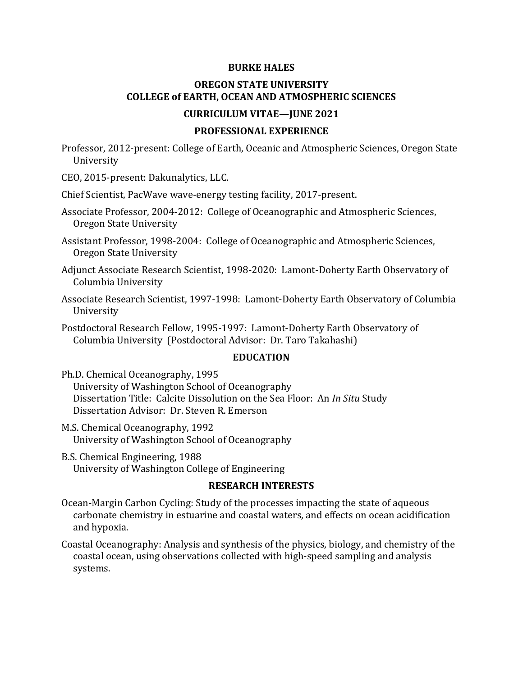#### **BURKE HALES**

# **OREGON STATE UNIVERSITY COLLEGE of EARTH, OCEAN AND ATMOSPHERIC SCIENCES**

### **CURRICULUM VITAE—JUNE 2021**

#### **PROFESSIONAL EXPERIENCE**

Professor, 2012-present: College of Earth, Oceanic and Atmospheric Sciences, Oregon State University

CEO, 2015-present: Dakunalytics, LLC.

Chief Scientist, PacWave wave-energy testing facility, 2017-present.

Associate Professor, 2004-2012: College of Oceanographic and Atmospheric Sciences, Oregon State University

Assistant Professor, 1998-2004: College of Oceanographic and Atmospheric Sciences, Oregon State University

Adjunct Associate Research Scientist, 1998-2020: Lamont-Doherty Earth Observatory of Columbia University

Associate Research Scientist, 1997-1998: Lamont-Doherty Earth Observatory of Columbia University

Postdoctoral Research Fellow, 1995-1997: Lamont-Doherty Earth Observatory of Columbia University (Postdoctoral Advisor: Dr. Taro Takahashi)

#### **EDUCATION**

Ph.D. Chemical Oceanography, 1995 University of Washington School of Oceanography Dissertation Title: Calcite Dissolution on the Sea Floor: An *In Situ* Study Dissertation Advisor: Dr. Steven R. Emerson

- M.S. Chemical Oceanography, 1992 University of Washington School of Oceanography
- B.S. Chemical Engineering, 1988 University of Washington College of Engineering

#### **RESEARCH INTERESTS**

Ocean-Margin Carbon Cycling: Study of the processes impacting the state of aqueous carbonate chemistry in estuarine and coastal waters, and effects on ocean acidification and hypoxia.

Coastal Oceanography: Analysis and synthesis of the physics, biology, and chemistry of the coastal ocean, using observations collected with high-speed sampling and analysis systems.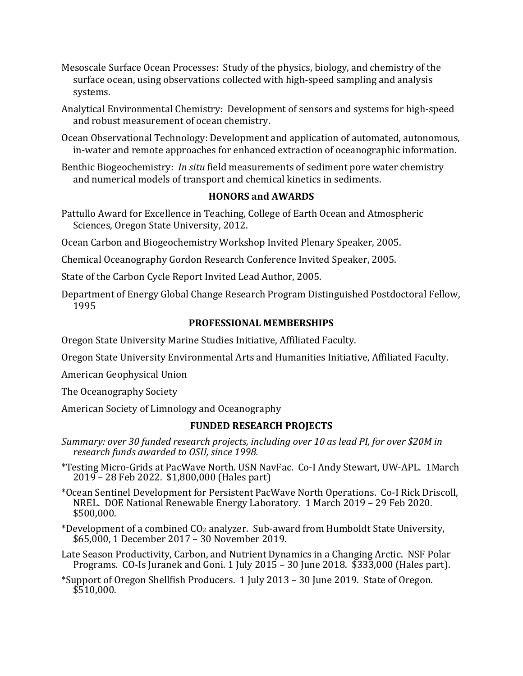- Mesoscale Surface Ocean Processes: Study of the physics, biology, and chemistry of the surface ocean, using observations collected with high-speed sampling and analysis systems.
- Analytical Environmental Chemistry: Development of sensors and systems for high-speed and robust measurement of ocean chemistry.
- Ocean Observational Technology: Development and application of automated, autonomous, in-water and remote approaches for enhanced extraction of oceanographic information.
- Benthic Biogeochemistry: *In situ* field measurements of sediment pore water chemistry and numerical models of transport and chemical kinetics in sediments.

# **HONORS and AWARDS**

- Pattullo Award for Excellence in Teaching, College of Earth Ocean and Atmospheric Sciences, Oregon State University, 2012.
- Ocean Carbon and Biogeochemistry Workshop Invited Plenary Speaker, 2005.
- Chemical Oceanography Gordon Research Conference Invited Speaker, 2005.
- State of the Carbon Cycle Report Invited Lead Author, 2005.
- Department of Energy Global Change Research Program Distinguished Postdoctoral Fellow, 1995

# **PROFESSIONAL MEMBERSHIPS**

Oregon State University Marine Studies Initiative, Affiliated Faculty.

Oregon State University Environmental Arts and Humanities Initiative, Affiliated Faculty.

American Geophysical Union

The Oceanography Society

American Society of Limnology and Oceanography

# **FUNDED RESEARCH PROJECTS**

- *Summary: over 30 funded research projects, including over 10 as lead PI, for over \$20M in research funds awarded to OSU, since 1998.*
- \*Testing Micro-Grids at PacWave North. USN NavFac. Co-I Andy Stewart, UW-APL. 1March 2019 – 28 Feb 2022. \$1,800,000 (Hales part)
- \*Ocean Sentinel Development for Persistent PacWave North Operations. Co-I Rick Driscoll, NREL. DOE National Renewable Energy Laboratory. 1 March 2019 – 29 Feb 2020. \$500,000.
- \*Development of a combined CO2 analyzer. Sub-award from Humboldt State University, \$65,000, 1 December 2017 – 30 November 2019.
- Late Season Productivity, Carbon, and Nutrient Dynamics in a Changing Arctic. NSF Polar Programs. CO-Is Juranek and Goni. 1 July 2015 – 30 June 2018. \$333,000 (Hales part).
- \*Support of Oregon Shellfish Producers. 1 July 2013 30 June 2019. State of Oregon.  $$510,000.$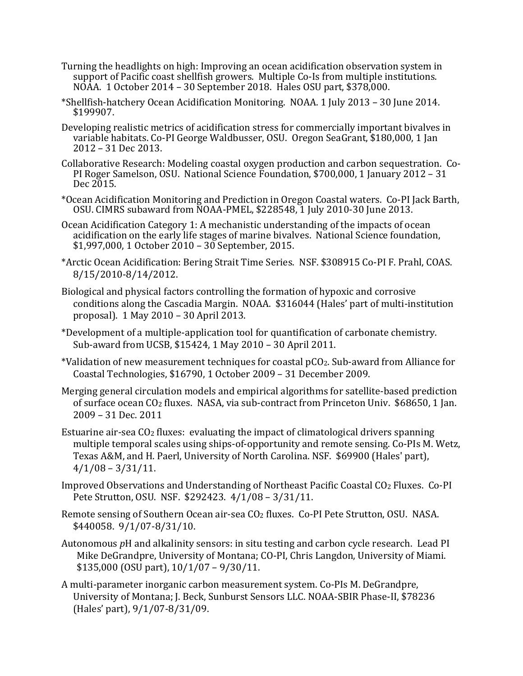- Turning the headlights on high: Improving an ocean acidification observation system in support of Pacific coast shellfish growers. Multiple Co-Is from multiple institutions. NOAA. 1 October 2014 – 30 September 2018. Hales OSU part, \$378,000.
- \*Shellfish-hatchery Ocean Acidification Monitoring. NOAA. 1 July 2013 30 June 2014. \$199907.
- Developing realistic metrics of acidification stress for commercially important bivalves in variable habitats. Co-PI George Waldbusser, OSU. Oregon SeaGrant, \$180,000, 1 Jan 2012 – 31 Dec 2013.
- Collaborative Research: Modeling coastal oxygen production and carbon sequestration. Co- PI Roger Samelson, OSU. National Science Foundation, \$700,000, 1 January 2012 <sup>31</sup> Dec 2015.
- \*Ocean Acidification Monitoring and Prediction in Oregon Coastal waters. Co-PI Jack Barth, OSU. CIMRS subaward from NOAA-PMEL, \$228548, 1 July 2010-30 June 2013.
- Ocean Acidification Category 1: A mechanistic understanding of the impacts of ocean acidification on the early life stages of marine bivalves. National Science foundation, \$1,997,000, 1 October 2010 – 30 September, 2015.
- \*Arctic Ocean Acidification: Bering Strait Time Series. NSF. \$308915 Co-PI F. Prahl, COAS. 8/15/2010-8/14/2012.
- Biological and physical factors controlling the formation of hypoxic and corrosive conditions along the Cascadia Margin. NOAA. \$316044 (Hales' part of multi-institution proposal). 1 May 2010 – 30 April 2013.
- \*Development of a multiple-application tool for quantification of carbonate chemistry. Sub-award from UCSB, \$15424, 1 May 2010 – 30 April 2011.
- \*Validation of new measurement techniques for coastal pCO2. Sub-award from Alliance for Coastal Technologies, \$16790, 1 October 2009 – 31 December 2009.
- Merging general circulation models and empirical algorithms for satellite-based prediction of surface ocean CO2 fluxes. NASA, via sub-contract from Princeton Univ. \$68650, 1 Jan. 2009 – 31 Dec. 2011
- Estuarine air-sea  $CO<sub>2</sub>$  fluxes: evaluating the impact of climatological drivers spanning multiple temporal scales using ships-of-opportunity and remote sensing. Co-PIs M. Wetz, Texas A&M, and H. Paerl, University of North Carolina. NSF. \$69900 (Hales' part),  $4/1/08 - 3/31/11$ .
- Improved Observations and Understanding of Northeast Pacific Coastal CO2 Fluxes. Co-PI Pete Strutton, OSU. NSF. \$292423. 4/1/08 – 3/31/11.
- Remote sensing of Southern Ocean air-sea CO2 fluxes. Co-PI Pete Strutton, OSU. NASA. \$440058. 9/1/07-8/31/10.
- Autonomous *p*H and alkalinity sensors: in situ testing and carbon cycle research. Lead PI Mike DeGrandpre, University of Montana; CO-PI, Chris Langdon, University of Miami. \$135,000 (OSU part), 10/1/07 – 9/30/11.
- A multi-parameter inorganic carbon measurement system. Co-PIs M. DeGrandpre, University of Montana; J. Beck, Sunburst Sensors LLC. NOAA-SBIR Phase-II, \$78236 (Hales' part), 9/1/07-8/31/09.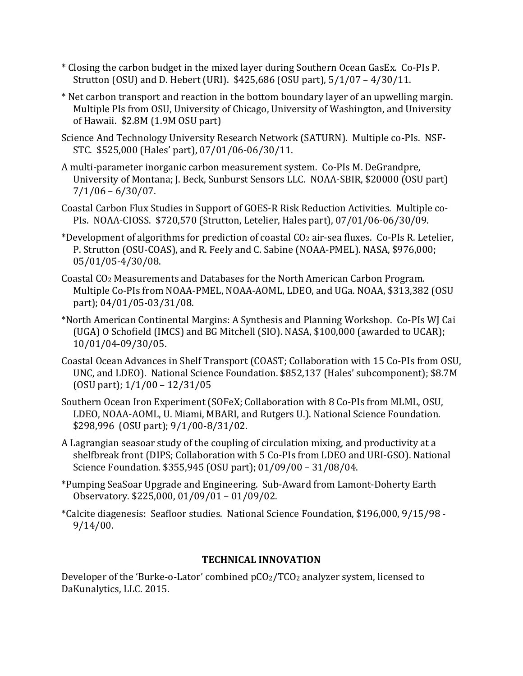- \* Closing the carbon budget in the mixed layer during Southern Ocean GasEx. Co-PIs P. Strutton (OSU) and D. Hebert (URI). \$425,686 (OSU part), 5/1/07 – 4/30/11.
- \* Net carbon transport and reaction in the bottom boundary layer of an upwelling margin. Multiple PIs from OSU, University of Chicago, University of Washington, and University of Hawaii. \$2.8M (1.9M OSU part)
- Science And Technology University Research Network (SATURN). Multiple co-PIs. NSF-STC. \$525,000 (Hales' part), 07/01/06-06/30/11.
- A multi-parameter inorganic carbon measurement system. Co-PIs M. DeGrandpre, University of Montana; J. Beck, Sunburst Sensors LLC. NOAA-SBIR, \$20000 (OSU part)  $7/1/06 - 6/30/07$ .
- Coastal Carbon Flux Studies in Support of GOES-R Risk Reduction Activities. Multiple co-PIs. NOAA-CIOSS. \$720,570 (Strutton, Letelier, Hales part), 07/01/06-06/30/09.
- \*Development of algorithms for prediction of coastal CO2 air-sea fluxes. Co-PIs R. Letelier, P. Strutton (OSU-COAS), and R. Feely and C. Sabine (NOAA-PMEL). NASA, \$976,000; 05/01/05-4/30/08.
- Coastal CO2 Measurements and Databases for the North American Carbon Program. Multiple Co-PIs from NOAA-PMEL, NOAA-AOML, LDEO, and UGa. NOAA, \$313,382 (OSU part); 04/01/05-03/31/08.
- \*North American Continental Margins: A Synthesis and Planning Workshop. Co-PIs WJ Cai (UGA) O Schofield (IMCS) and BG Mitchell (SIO). NASA, \$100,000 (awarded to UCAR); 10/01/04-09/30/05.
- Coastal Ocean Advances in Shelf Transport (COAST; Collaboration with 15 Co-PIs from OSU, UNC, and LDEO). National Science Foundation. \$852,137 (Hales' subcomponent); \$8.7M (OSU part); 1/1/00 – 12/31/05
- Southern Ocean Iron Experiment (SOFeX; Collaboration with 8 Co-PIs from MLML, OSU, LDEO, NOAA-AOML, U. Miami, MBARI, and Rutgers U.). National Science Foundation. \$298,996 (OSU part); 9/1/00-8/31/02.
- A Lagrangian seasoar study of the coupling of circulation mixing, and productivity at a shelfbreak front (DIPS; Collaboration with 5 Co-PIs from LDEO and URI-GSO). National Science Foundation. \$355,945 (OSU part); 01/09/00 – 31/08/04.
- \*Pumping SeaSoar Upgrade and Engineering. Sub-Award from Lamont-Doherty Earth Observatory. \$225,000, 01/09/01 – 01/09/02.
- \*Calcite diagenesis: Seafloor studies. National Science Foundation, \$196,000, 9/15/98 9/14/00.

# **TECHNICAL INNOVATION**

Developer of the 'Burke-o-Lator' combined pCO2/TCO2 analyzer system, licensed to DaKunalytics, LLC. 2015.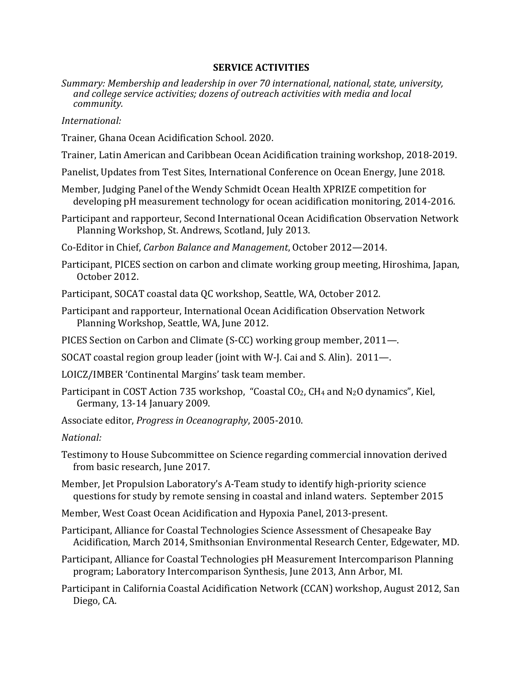### **SERVICE ACTIVITIES**

*Summary: Membership and leadership in over 70 international, national, state, university, and college service activities; dozens of outreach activities with media and local community.*

### *International:*

- Trainer, Ghana Ocean Acidification School. 2020.
- Trainer, Latin American and Caribbean Ocean Acidification training workshop, 2018-2019.
- Panelist, Updates from Test Sites, International Conference on Ocean Energy, June 2018.
- Member, Judging Panel of the Wendy Schmidt Ocean Health XPRIZE competition for developing pH measurement technology for ocean acidification monitoring, 2014-2016.
- Participant and rapporteur, Second International Ocean Acidification Observation Network Planning Workshop, St. Andrews, Scotland, July 2013.
- Co-Editor in Chief, *Carbon Balance and Management*, October 2012—2014.
- Participant, PICES section on carbon and climate working group meeting, Hiroshima, Japan, October 2012.
- Participant, SOCAT coastal data QC workshop, Seattle, WA, October 2012.
- Participant and rapporteur, International Ocean Acidification Observation Network Planning Workshop, Seattle, WA, June 2012.
- PICES Section on Carbon and Climate (S-CC) working group member, 2011—.
- SOCAT coastal region group leader (joint with W-J. Cai and S. Alin). 2011—.
- LOICZ/IMBER 'Continental Margins' task team member.
- Participant in COST Action 735 workshop, "Coastal CO<sub>2</sub>, CH<sub>4</sub> and N<sub>2</sub>O dynamics", Kiel, Germany, 13-14 January 2009.
- Associate editor, *Progress in Oceanography*, 2005-2010.

*National:*

- Testimony to House Subcommittee on Science regarding commercial innovation derived from basic research, June 2017.
- Member, Jet Propulsion Laboratory's A-Team study to identify high-priority science questions for study by remote sensing in coastal and inland waters. September 2015
- Member, West Coast Ocean Acidification and Hypoxia Panel, 2013-present.
- Participant, Alliance for Coastal Technologies Science Assessment of Chesapeake Bay Acidification, March 2014, Smithsonian Environmental Research Center, Edgewater, MD.
- Participant, Alliance for Coastal Technologies pH Measurement Intercomparison Planning program; Laboratory Intercomparison Synthesis, June 2013, Ann Arbor, MI.
- Participant in California Coastal Acidification Network (CCAN) workshop, August 2012, San Diego, CA.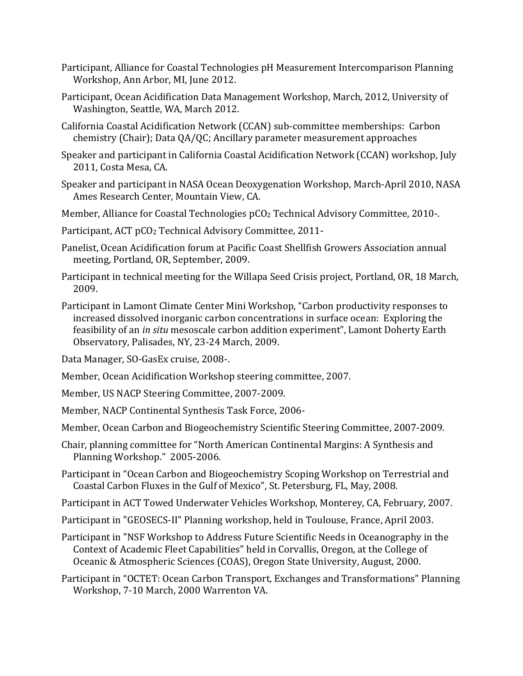- Participant, Alliance for Coastal Technologies pH Measurement Intercomparison Planning Workshop, Ann Arbor, MI, June 2012.
- Participant, Ocean Acidification Data Management Workshop, March, 2012, University of Washington, Seattle, WA, March 2012.
- California Coastal Acidification Network (CCAN) sub-committee memberships: Carbon chemistry (Chair); Data QA/QC; Ancillary parameter measurement approaches
- Speaker and participant in California Coastal Acidification Network (CCAN) workshop, July 2011, Costa Mesa, CA.
- Speaker and participant in NASA Ocean Deoxygenation Workshop, March-April 2010, NASA Ames Research Center, Mountain View, CA.
- Member, Alliance for Coastal Technologies pCO2 Technical Advisory Committee, 2010-.
- Participant, ACT pCO2 Technical Advisory Committee, 2011-
- Panelist, Ocean Acidification forum at Pacific Coast Shellfish Growers Association annual meeting, Portland, OR, September, 2009.
- Participant in technical meeting for the Willapa Seed Crisis project, Portland, OR, 18 March, 2009.
- Participant in Lamont Climate Center Mini Workshop, "Carbon productivity responses to increased dissolved inorganic carbon concentrations in surface ocean: Exploring the feasibility of an *in situ* mesoscale carbon addition experiment", Lamont Doherty Earth Observatory, Palisades, NY, 23-24 March, 2009.
- Data Manager, SO-GasEx cruise, 2008-.
- Member, Ocean Acidification Workshop steering committee, 2007.
- Member, US NACP Steering Committee, 2007-2009.
- Member, NACP Continental Synthesis Task Force, 2006-
- Member, Ocean Carbon and Biogeochemistry Scientific Steering Committee, 2007-2009.
- Chair, planning committee for "North American Continental Margins: A Synthesis and Planning Workshop." 2005-2006.
- Participant in "Ocean Carbon and Biogeochemistry Scoping Workshop on Terrestrial and Coastal Carbon Fluxes in the Gulf of Mexico", St. Petersburg, FL, May, 2008.
- Participant in ACT Towed Underwater Vehicles Workshop, Monterey, CA, February, 2007.
- Participant in "GEOSECS-II" Planning workshop, held in Toulouse, France, April 2003.
- Participant in "NSF Workshop to Address Future Scientific Needs in Oceanography in the Context of Academic Fleet Capabilities" held in Corvallis, Oregon, at the College of Oceanic & Atmospheric Sciences (COAS), Oregon State University, August, 2000.
- Participant in "OCTET: Ocean Carbon Transport, Exchanges and Transformations" Planning Workshop, 7-10 March, 2000 Warrenton VA.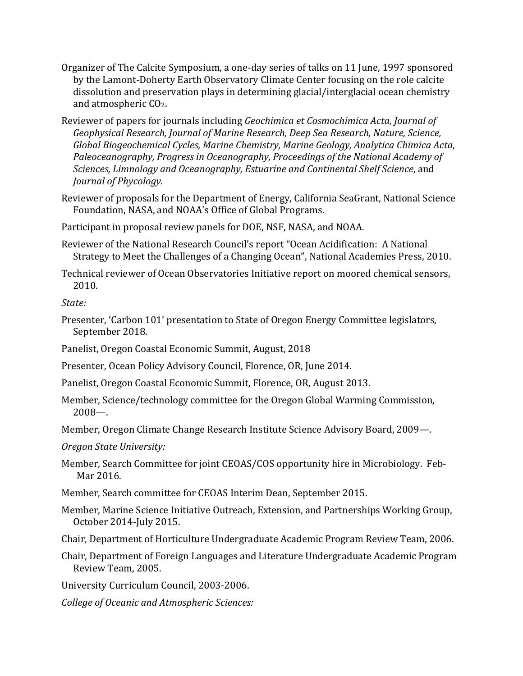- Organizer of The Calcite Symposium, a one-day series of talks on 11 June, 1997 sponsored by the Lamont-Doherty Earth Observatory Climate Center focusing on the role calcite dissolution and preservation plays in determining glacial/interglacial ocean chemistry and atmospheric CO2.
- Reviewer of papers for journals including *Geochimica et Cosmochimica Acta, Journal of Geophysical Research, Journal of Marine Research, Deep Sea Research, Nature, Science, Global Biogeochemical Cycles, Marine Chemistry, Marine Geology, Analytica Chimica Acta, Paleoceanography, Progress in Oceanography, Proceedings of the National Academy of Sciences, Limnology and Oceanography, Estuarine and Continental Shelf Science*, and *Journal of Phycology*.
- Reviewer of proposals for the Department of Energy, California SeaGrant, National Science Foundation, NASA, and NOAA's Office of Global Programs.
- Participant in proposal review panels for DOE, NSF, NASA, and NOAA.
- Reviewer of the National Research Council's report "Ocean Acidification: A National Strategy to Meet the Challenges of a Changing Ocean", National Academies Press, 2010.
- Technical reviewer of Ocean Observatories Initiative report on moored chemical sensors, 2010.

*State:*

- Presenter, 'Carbon 101' presentation to State of Oregon Energy Committee legislators, September 2018.
- Panelist, Oregon Coastal Economic Summit, August, 2018
- Presenter, Ocean Policy Advisory Council, Florence, OR, June 2014.
- Panelist, Oregon Coastal Economic Summit, Florence, OR, August 2013.
- Member, Science/technology committee for the Oregon Global Warming Commission, 2008—.
- Member, Oregon Climate Change Research Institute Science Advisory Board, 2009—.

*Oregon State University:*

- Member, Search Committee for joint CEOAS/COS opportunity hire in Microbiology. Feb-Mar 2016.
- Member, Search committee for CEOAS Interim Dean, September 2015.
- Member, Marine Science Initiative Outreach, Extension, and Partnerships Working Group, October 2014-July 2015.
- Chair, Department of Horticulture Undergraduate Academic Program Review Team, 2006.
- Chair, Department of Foreign Languages and Literature Undergraduate Academic Program Review Team, 2005.
- University Curriculum Council, 2003-2006.
- *College of Oceanic and Atmospheric Sciences:*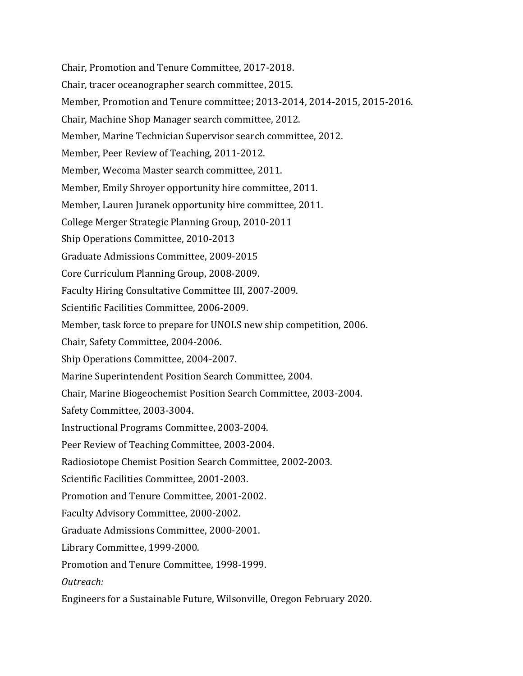Chair, Promotion and Tenure Committee, 2017-2018. Chair, tracer oceanographer search committee, 2015. Member, Promotion and Tenure committee; 2013-2014, 2014-2015, 2015-2016. Chair, Machine Shop Manager search committee, 2012. Member, Marine Technician Supervisor search committee, 2012. Member, Peer Review of Teaching, 2011-2012. Member, Wecoma Master search committee, 2011. Member, Emily Shroyer opportunity hire committee, 2011. Member, Lauren Juranek opportunity hire committee, 2011. College Merger Strategic Planning Group, 2010-2011 Ship Operations Committee, 2010-2013 Graduate Admissions Committee, 2009-2015 Core Curriculum Planning Group, 2008-2009. Faculty Hiring Consultative Committee III, 2007-2009. Scientific Facilities Committee, 2006-2009. Member, task force to prepare for UNOLS new ship competition, 2006. Chair, Safety Committee, 2004-2006. Ship Operations Committee, 2004-2007. Marine Superintendent Position Search Committee, 2004. Chair, Marine Biogeochemist Position Search Committee, 2003-2004. Safety Committee, 2003-3004. Instructional Programs Committee, 2003-2004. Peer Review of Teaching Committee, 2003-2004. Radiosiotope Chemist Position Search Committee, 2002-2003. Scientific Facilities Committee, 2001-2003. Promotion and Tenure Committee, 2001-2002. Faculty Advisory Committee, 2000-2002. Graduate Admissions Committee, 2000-2001. Library Committee, 1999-2000. Promotion and Tenure Committee, 1998-1999. *Outreach:* Engineers for a Sustainable Future, Wilsonville, Oregon February 2020.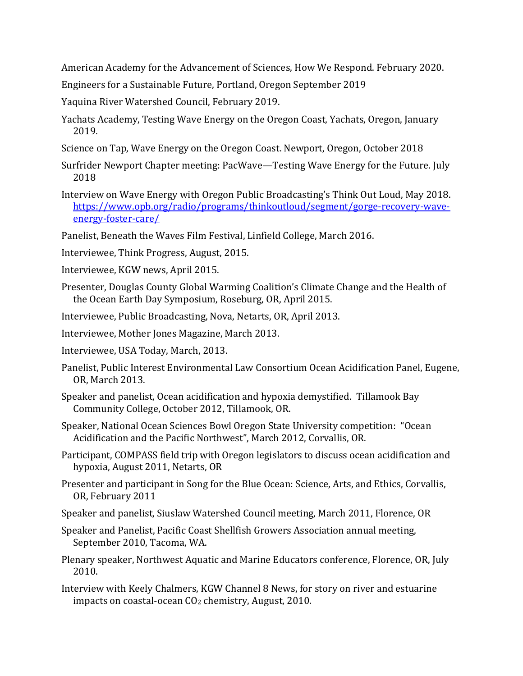American Academy for the Advancement of Sciences, How We Respond. February 2020.

Engineers for a Sustainable Future, Portland, Oregon September 2019

Yaquina River Watershed Council, February 2019.

- Yachats Academy, Testing Wave Energy on the Oregon Coast, Yachats, Oregon, January 2019.
- Science on Tap, Wave Energy on the Oregon Coast. Newport, Oregon, October 2018
- Surfrider Newport Chapter meeting: PacWave—Testing Wave Energy for the Future. July 2018
- Interview on Wave Energy with Oregon Public Broadcasting's Think Out Loud, May 2018. [https://www.opb.org/radio/programs/thinkoutloud/segment/gorge-recovery-wave](https://www.opb.org/radio/programs/thinkoutloud/segment/gorge-recovery-wave-energy-foster-care/)[energy-foster-care/](https://www.opb.org/radio/programs/thinkoutloud/segment/gorge-recovery-wave-energy-foster-care/)

Panelist, Beneath the Waves Film Festival, Linfield College, March 2016.

- Interviewee, Think Progress, August, 2015.
- Interviewee, KGW news, April 2015.
- Presenter, Douglas County Global Warming Coalition's Climate Change and the Health of the Ocean Earth Day Symposium, Roseburg, OR, April 2015.
- Interviewee, Public Broadcasting, Nova, Netarts, OR, April 2013.
- Interviewee, Mother Jones Magazine, March 2013.
- Interviewee, USA Today, March, 2013.
- Panelist, Public Interest Environmental Law Consortium Ocean Acidification Panel, Eugene, OR, March 2013.
- Speaker and panelist, Ocean acidification and hypoxia demystified. Tillamook Bay Community College, October 2012, Tillamook, OR.
- Speaker, National Ocean Sciences Bowl Oregon State University competition: "Ocean Acidification and the Pacific Northwest", March 2012, Corvallis, OR.
- Participant, COMPASS field trip with Oregon legislators to discuss ocean acidification and hypoxia, August 2011, Netarts, OR
- Presenter and participant in Song for the Blue Ocean: Science, Arts, and Ethics, Corvallis, OR, February 2011
- Speaker and panelist, Siuslaw Watershed Council meeting, March 2011, Florence, OR
- Speaker and Panelist, Pacific Coast Shellfish Growers Association annual meeting, September 2010, Tacoma, WA.
- Plenary speaker, Northwest Aquatic and Marine Educators conference, Florence, OR, July 2010.
- Interview with Keely Chalmers, KGW Channel 8 News, for story on river and estuarine impacts on coastal-ocean  $CO<sub>2</sub>$  chemistry, August, 2010.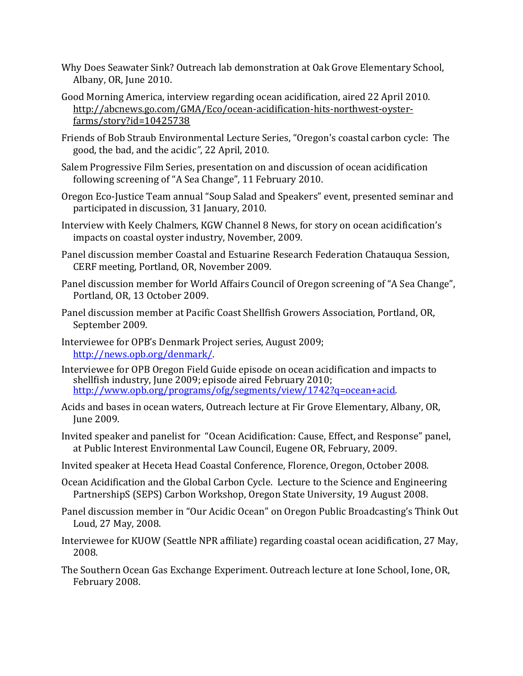- Why Does Seawater Sink? Outreach lab demonstration at Oak Grove Elementary School, Albany, OR, June 2010.
- Good Morning America, interview regarding ocean acidification, aired 22 April 2010. http://abcnews.go.com/GMA/Eco/ocean-acidification-hits-northwest-oysterfarms/story?id=10425738
- Friends of Bob Straub Environmental Lecture Series, "Oregon's coastal carbon cycle: The good, the bad, and the acidic*"*, 22 April, 2010.
- Salem Progressive Film Series, presentation on and discussion of ocean acidification following screening of "A Sea Change", 11 February 2010.
- Oregon Eco-Justice Team annual "Soup Salad and Speakers" event, presented seminar and participated in discussion, 31 January, 2010.
- Interview with Keely Chalmers, KGW Channel 8 News, for story on ocean acidification's impacts on coastal oyster industry, November, 2009.
- Panel discussion member Coastal and Estuarine Research Federation Chatauqua Session, CERF meeting, Portland, OR, November 2009.
- Panel discussion member for World Affairs Council of Oregon screening of "A Sea Change", Portland, OR, 13 October 2009.
- Panel discussion member at Pacific Coast Shellfish Growers Association, Portland, OR, September 2009.
- Interviewee for OPB's Denmark Project series, August 2009; [http://news.opb.org/denmark/.](http://news.opb.org/denmark/)
- Interviewee for OPB Oregon Field Guide episode on ocean acidification and impacts to shellfish industry, June 2009; episode aired February 2010; [http://www.opb.org/programs/ofg/segments/view/1742?q=ocean+acid.](http://www.opb.org/programs/ofg/segments/view/1742?q=ocean+acid)
- Acids and bases in ocean waters, Outreach lecture at Fir Grove Elementary, Albany, OR, June 2009.
- Invited speaker and panelist for "Ocean Acidification: Cause, Effect, and Response" panel, at Public Interest Environmental Law Council, Eugene OR, February, 2009.
- Invited speaker at Heceta Head Coastal Conference, Florence, Oregon, October 2008.
- Ocean Acidification and the Global Carbon Cycle. Lecture to the Science and Engineering PartnershipS (SEPS) Carbon Workshop, Oregon State University, 19 August 2008.
- Panel discussion member in "Our Acidic Ocean" on Oregon Public Broadcasting's Think Out Loud, 27 May, 2008.
- Interviewee for KUOW (Seattle NPR affiliate) regarding coastal ocean acidification, 27 May, 2008.
- The Southern Ocean Gas Exchange Experiment. Outreach lecture at Ione School, Ione, OR, February 2008.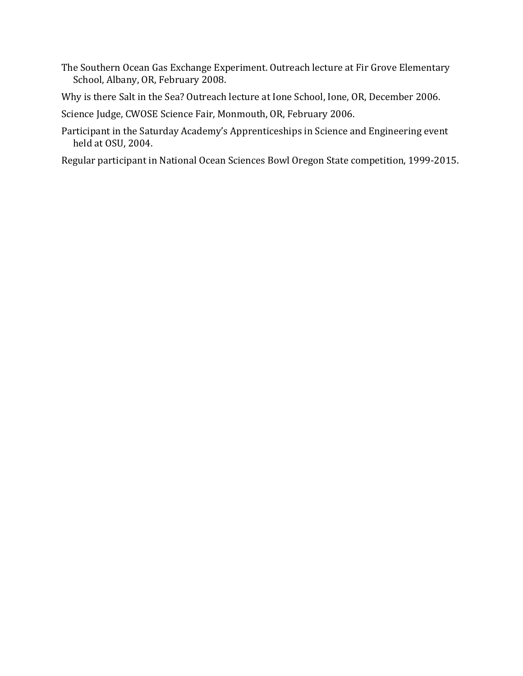- The Southern Ocean Gas Exchange Experiment. Outreach lecture at Fir Grove Elementary School, Albany, OR, February 2008.
- Why is there Salt in the Sea? Outreach lecture at Ione School, Ione, OR, December 2006.

Science Judge, CWOSE Science Fair, Monmouth, OR, February 2006.

Participant in the Saturday Academy's Apprenticeships in Science and Engineering event held at OSU, 2004.

Regular participant in National Ocean Sciences Bowl Oregon State competition, 1999-2015.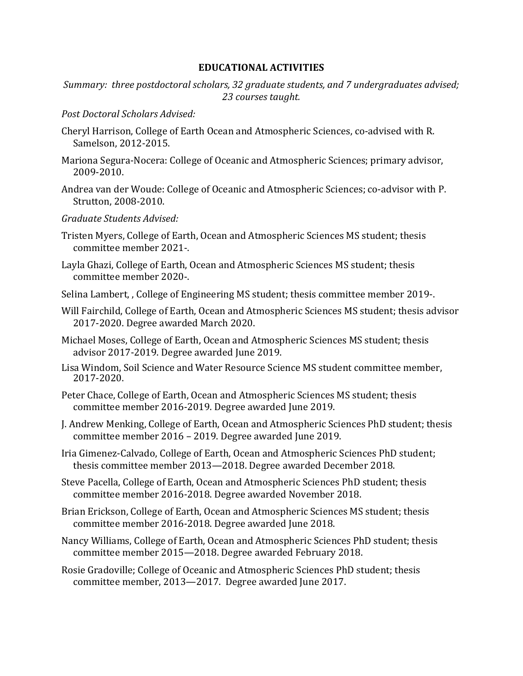### **EDUCATIONAL ACTIVITIES**

*Summary: three postdoctoral scholars, 32 graduate students, and 7 undergraduates advised; 23 courses taught.*

### *Post Doctoral Scholars Advised:*

- Cheryl Harrison, College of Earth Ocean and Atmospheric Sciences, co-advised with R. Samelson, 2012-2015.
- Mariona Segura-Nocera: College of Oceanic and Atmospheric Sciences; primary advisor, 2009-2010.
- Andrea van der Woude: College of Oceanic and Atmospheric Sciences; co-advisor with P. Strutton, 2008-2010.
- *Graduate Students Advised:*
- Tristen Myers, College of Earth, Ocean and Atmospheric Sciences MS student; thesis committee member 2021-.
- Layla Ghazi, College of Earth, Ocean and Atmospheric Sciences MS student; thesis committee member 2020-.
- Selina Lambert, , College of Engineering MS student; thesis committee member 2019-.
- Will Fairchild, College of Earth, Ocean and Atmospheric Sciences MS student; thesis advisor 2017-2020. Degree awarded March 2020.
- Michael Moses, College of Earth, Ocean and Atmospheric Sciences MS student; thesis advisor 2017-2019. Degree awarded June 2019.
- Lisa Windom, Soil Science and Water Resource Science MS student committee member, 2017-2020.
- Peter Chace, College of Earth, Ocean and Atmospheric Sciences MS student; thesis committee member 2016-2019. Degree awarded June 2019.
- J. Andrew Menking, College of Earth, Ocean and Atmospheric Sciences PhD student; thesis committee member 2016 – 2019. Degree awarded June 2019.
- Iria Gimenez-Calvado, College of Earth, Ocean and Atmospheric Sciences PhD student; thesis committee member 2013—2018. Degree awarded December 2018.
- Steve Pacella, College of Earth, Ocean and Atmospheric Sciences PhD student; thesis committee member 2016-2018. Degree awarded November 2018.
- Brian Erickson, College of Earth, Ocean and Atmospheric Sciences MS student; thesis committee member 2016-2018. Degree awarded June 2018.
- Nancy Williams, College of Earth, Ocean and Atmospheric Sciences PhD student; thesis committee member 2015—2018. Degree awarded February 2018.
- Rosie Gradoville; College of Oceanic and Atmospheric Sciences PhD student; thesis committee member, 2013—2017. Degree awarded June 2017.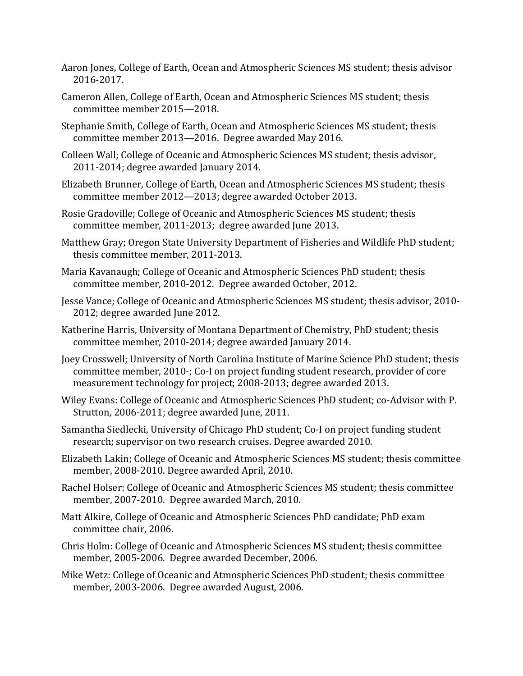- Aaron Jones, College of Earth, Ocean and Atmospheric Sciences MS student; thesis advisor 2016-2017.
- Cameron Allen, College of Earth, Ocean and Atmospheric Sciences MS student; thesis committee member 2015—2018.
- Stephanie Smith, College of Earth, Ocean and Atmospheric Sciences MS student; thesis committee member 2013—2016. Degree awarded May 2016.
- Colleen Wall; College of Oceanic and Atmospheric Sciences MS student; thesis advisor, 2011-2014; degree awarded January 2014.
- Elizabeth Brunner, College of Earth, Ocean and Atmospheric Sciences MS student; thesis committee member 2012—2013; degree awarded October 2013.
- Rosie Gradoville; College of Oceanic and Atmospheric Sciences MS student; thesis committee member, 2011-2013; degree awarded June 2013.
- Matthew Gray; Oregon State University Department of Fisheries and Wildlife PhD student; thesis committee member, 2011-2013.
- Maria Kavanaugh; College of Oceanic and Atmospheric Sciences PhD student; thesis committee member, 2010-2012. Degree awarded October, 2012.
- Jesse Vance; College of Oceanic and Atmospheric Sciences MS student; thesis advisor, 2010- 2012; degree awarded June 2012.
- Katherine Harris, University of Montana Department of Chemistry, PhD student; thesis committee member, 2010-2014; degree awarded January 2014.
- Joey Crosswell; University of North Carolina Institute of Marine Science PhD student; thesis committee member, 2010-; Co-I on project funding student research, provider of core measurement technology for project; 2008-2013; degree awarded 2013.
- Wiley Evans: College of Oceanic and Atmospheric Sciences PhD student; co-Advisor with P. Strutton, 2006-2011; degree awarded June, 2011.
- Samantha Siedlecki, University of Chicago PhD student; Co-I on project funding student research; supervisor on two research cruises. Degree awarded 2010.
- Elizabeth Lakin; College of Oceanic and Atmospheric Sciences MS student; thesis committee member, 2008-2010. Degree awarded April, 2010.
- Rachel Holser: College of Oceanic and Atmospheric Sciences MS student; thesis committee member, 2007-2010. Degree awarded March, 2010.
- Matt Alkire, College of Oceanic and Atmospheric Sciences PhD candidate; PhD exam committee chair, 2006.
- Chris Holm: College of Oceanic and Atmospheric Sciences MS student; thesis committee member, 2005-2006. Degree awarded December, 2006.
- Mike Wetz: College of Oceanic and Atmospheric Sciences PhD student; thesis committee member, 2003-2006. Degree awarded August, 2006.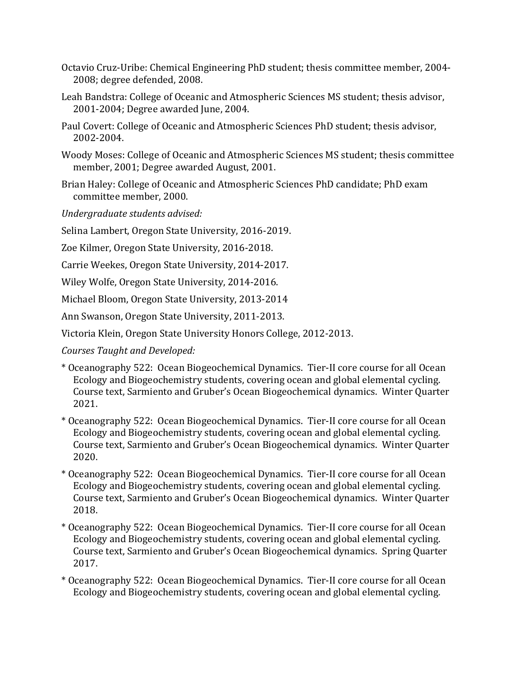- Octavio Cruz-Uribe: Chemical Engineering PhD student; thesis committee member, 2004- 2008; degree defended, 2008.
- Leah Bandstra: College of Oceanic and Atmospheric Sciences MS student; thesis advisor, 2001-2004; Degree awarded June, 2004.
- Paul Covert: College of Oceanic and Atmospheric Sciences PhD student; thesis advisor, 2002-2004.
- Woody Moses: College of Oceanic and Atmospheric Sciences MS student; thesis committee member, 2001; Degree awarded August, 2001.
- Brian Haley: College of Oceanic and Atmospheric Sciences PhD candidate; PhD exam committee member, 2000.

*Undergraduate students advised:*

Selina Lambert, Oregon State University, 2016-2019.

Zoe Kilmer, Oregon State University, 2016-2018.

Carrie Weekes, Oregon State University, 2014-2017.

Wiley Wolfe, Oregon State University, 2014-2016.

Michael Bloom, Oregon State University, 2013-2014

Ann Swanson, Oregon State University, 2011-2013.

Victoria Klein, Oregon State University Honors College, 2012-2013.

*Courses Taught and Developed:*

- \* Oceanography 522: Ocean Biogeochemical Dynamics. Tier-II core course for all Ocean Ecology and Biogeochemistry students, covering ocean and global elemental cycling. Course text, Sarmiento and Gruber's Ocean Biogeochemical dynamics. Winter Quarter 2021.
- \* Oceanography 522: Ocean Biogeochemical Dynamics. Tier-II core course for all Ocean Ecology and Biogeochemistry students, covering ocean and global elemental cycling. Course text, Sarmiento and Gruber's Ocean Biogeochemical dynamics. Winter Quarter 2020.
- \* Oceanography 522: Ocean Biogeochemical Dynamics. Tier-II core course for all Ocean Ecology and Biogeochemistry students, covering ocean and global elemental cycling. Course text, Sarmiento and Gruber's Ocean Biogeochemical dynamics. Winter Quarter 2018.
- \* Oceanography 522: Ocean Biogeochemical Dynamics. Tier-II core course for all Ocean Ecology and Biogeochemistry students, covering ocean and global elemental cycling. Course text, Sarmiento and Gruber's Ocean Biogeochemical dynamics. Spring Quarter 2017.
- \* Oceanography 522: Ocean Biogeochemical Dynamics. Tier-II core course for all Ocean Ecology and Biogeochemistry students, covering ocean and global elemental cycling.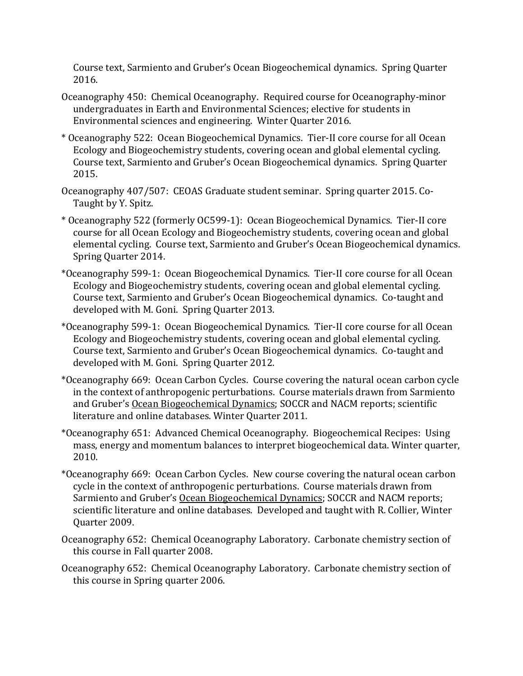Course text, Sarmiento and Gruber's Ocean Biogeochemical dynamics. Spring Quarter 2016.

- Oceanography 450: Chemical Oceanography. Required course for Oceanography-minor undergraduates in Earth and Environmental Sciences; elective for students in Environmental sciences and engineering. Winter Quarter 2016.
- \* Oceanography 522: Ocean Biogeochemical Dynamics. Tier-II core course for all Ocean Ecology and Biogeochemistry students, covering ocean and global elemental cycling. Course text, Sarmiento and Gruber's Ocean Biogeochemical dynamics. Spring Quarter 2015.
- Oceanography 407/507: CEOAS Graduate student seminar. Spring quarter 2015. Co-Taught by Y. Spitz.
- \* Oceanography 522 (formerly OC599-1): Ocean Biogeochemical Dynamics. Tier-II core course for all Ocean Ecology and Biogeochemistry students, covering ocean and global elemental cycling. Course text, Sarmiento and Gruber's Ocean Biogeochemical dynamics. Spring Quarter 2014.
- \*Oceanography 599-1: Ocean Biogeochemical Dynamics. Tier-II core course for all Ocean Ecology and Biogeochemistry students, covering ocean and global elemental cycling. Course text, Sarmiento and Gruber's Ocean Biogeochemical dynamics. Co-taught and developed with M. Goni. Spring Quarter 2013.
- \*Oceanography 599-1: Ocean Biogeochemical Dynamics. Tier-II core course for all Ocean Ecology and Biogeochemistry students, covering ocean and global elemental cycling. Course text, Sarmiento and Gruber's Ocean Biogeochemical dynamics. Co-taught and developed with M. Goni. Spring Quarter 2012.
- \*Oceanography 669: Ocean Carbon Cycles. Course covering the natural ocean carbon cycle in the context of anthropogenic perturbations. Course materials drawn from Sarmiento and Gruber's Ocean Biogeochemical Dynamics; SOCCR and NACM reports; scientific literature and online databases. Winter Quarter 2011.
- \*Oceanography 651: Advanced Chemical Oceanography. Biogeochemical Recipes: Using mass, energy and momentum balances to interpret biogeochemical data. Winter quarter, 2010.
- \*Oceanography 669: Ocean Carbon Cycles. New course covering the natural ocean carbon cycle in the context of anthropogenic perturbations. Course materials drawn from Sarmiento and Gruber's Ocean Biogeochemical Dynamics; SOCCR and NACM reports; scientific literature and online databases. Developed and taught with R. Collier, Winter Quarter 2009.
- Oceanography 652: Chemical Oceanography Laboratory. Carbonate chemistry section of this course in Fall quarter 2008.
- Oceanography 652: Chemical Oceanography Laboratory. Carbonate chemistry section of this course in Spring quarter 2006.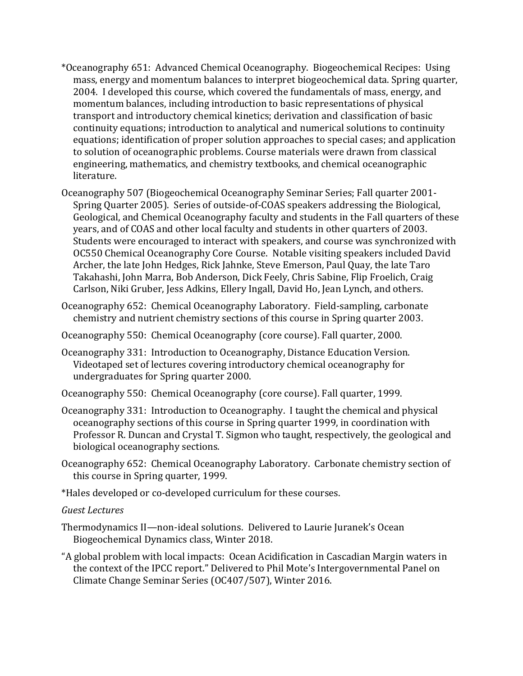- \*Oceanography 651: Advanced Chemical Oceanography. Biogeochemical Recipes: Using mass, energy and momentum balances to interpret biogeochemical data. Spring quarter, 2004. I developed this course, which covered the fundamentals of mass, energy, and momentum balances, including introduction to basic representations of physical transport and introductory chemical kinetics; derivation and classification of basic continuity equations; introduction to analytical and numerical solutions to continuity equations; identification of proper solution approaches to special cases; and application to solution of oceanographic problems. Course materials were drawn from classical engineering, mathematics, and chemistry textbooks, and chemical oceanographic literature.
- Oceanography 507 (Biogeochemical Oceanography Seminar Series; Fall quarter 2001- Spring Quarter 2005). Series of outside-of-COAS speakers addressing the Biological, Geological, and Chemical Oceanography faculty and students in the Fall quarters of these years, and of COAS and other local faculty and students in other quarters of 2003. Students were encouraged to interact with speakers, and course was synchronized with OC550 Chemical Oceanography Core Course. Notable visiting speakers included David Archer, the late John Hedges, Rick Jahnke, Steve Emerson, Paul Quay, the late Taro Takahashi, John Marra, Bob Anderson, Dick Feely, Chris Sabine, Flip Froelich, Craig Carlson, Niki Gruber, Jess Adkins, Ellery Ingall, David Ho, Jean Lynch, and others.
- Oceanography 652: Chemical Oceanography Laboratory. Field-sampling, carbonate chemistry and nutrient chemistry sections of this course in Spring quarter 2003.
- Oceanography 550: Chemical Oceanography (core course). Fall quarter, 2000.
- Oceanography 331: Introduction to Oceanography, Distance Education Version. Videotaped set of lectures covering introductory chemical oceanography for undergraduates for Spring quarter 2000.
- Oceanography 550: Chemical Oceanography (core course). Fall quarter, 1999.
- Oceanography 331: Introduction to Oceanography. I taught the chemical and physical oceanography sections of this course in Spring quarter 1999, in coordination with Professor R. Duncan and Crystal T. Sigmon who taught, respectively, the geological and biological oceanography sections.
- Oceanography 652: Chemical Oceanography Laboratory. Carbonate chemistry section of this course in Spring quarter, 1999.
- \*Hales developed or co-developed curriculum for these courses.
- *Guest Lectures*
- Thermodynamics II—non-ideal solutions. Delivered to Laurie Juranek's Ocean Biogeochemical Dynamics class, Winter 2018.
- "A global problem with local impacts: Ocean Acidification in Cascadian Margin waters in the context of the IPCC report." Delivered to Phil Mote's Intergovernmental Panel on Climate Change Seminar Series (OC407/507), Winter 2016.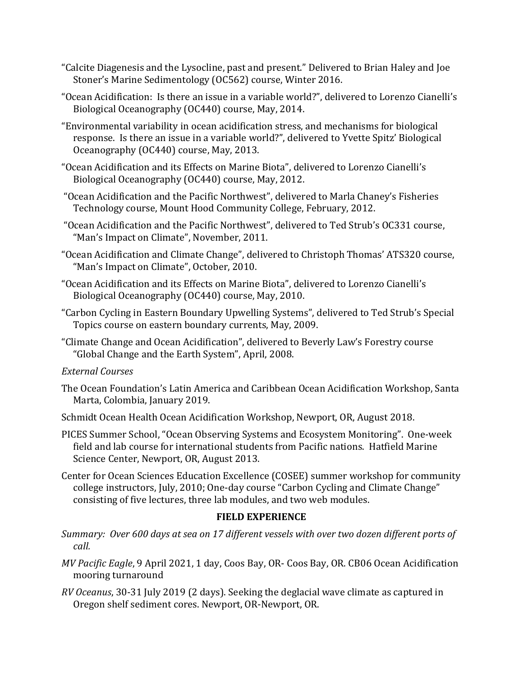- "Calcite Diagenesis and the Lysocline, past and present." Delivered to Brian Haley and Joe Stoner's Marine Sedimentology (OC562) course, Winter 2016.
- "Ocean Acidification: Is there an issue in a variable world?", delivered to Lorenzo Cianelli's Biological Oceanography (OC440) course, May, 2014.
- "Environmental variability in ocean acidification stress, and mechanisms for biological response. Is there an issue in a variable world?", delivered to Yvette Spitz' Biological Oceanography (OC440) course, May, 2013.
- "Ocean Acidification and its Effects on Marine Biota", delivered to Lorenzo Cianelli's Biological Oceanography (OC440) course, May, 2012.
- "Ocean Acidification and the Pacific Northwest", delivered to Marla Chaney's Fisheries Technology course, Mount Hood Community College, February, 2012.
- "Ocean Acidification and the Pacific Northwest", delivered to Ted Strub's OC331 course, "Man's Impact on Climate", November, 2011.
- "Ocean Acidification and Climate Change", delivered to Christoph Thomas' ATS320 course, "Man's Impact on Climate", October, 2010.
- "Ocean Acidification and its Effects on Marine Biota", delivered to Lorenzo Cianelli's Biological Oceanography (OC440) course, May, 2010.
- "Carbon Cycling in Eastern Boundary Upwelling Systems", delivered to Ted Strub's Special Topics course on eastern boundary currents, May, 2009.
- "Climate Change and Ocean Acidification", delivered to Beverly Law's Forestry course "Global Change and the Earth System", April, 2008.

# *External Courses*

- The Ocean Foundation's Latin America and Caribbean Ocean Acidification Workshop, Santa Marta, Colombia, January 2019.
- Schmidt Ocean Health Ocean Acidification Workshop, Newport, OR, August 2018.
- PICES Summer School, "Ocean Observing Systems and Ecosystem Monitoring". One-week field and lab course for international students from Pacific nations. Hatfield Marine Science Center, Newport, OR, August 2013.
- Center for Ocean Sciences Education Excellence (COSEE) summer workshop for community college instructors, July, 2010; One-day course "Carbon Cycling and Climate Change" consisting of five lectures, three lab modules, and two web modules.

# **FIELD EXPERIENCE**

- *Summary: Over 600 days at sea on 17 different vessels with over two dozen different ports of call.*
- *MV Pacific Eagle*, 9 April 2021, 1 day, Coos Bay, OR- Coos Bay, OR. CB06 Ocean Acidification mooring turnaround
- *RV Oceanus*, 30-31 July 2019 (2 days). Seeking the deglacial wave climate as captured in Oregon shelf sediment cores. Newport, OR-Newport, OR.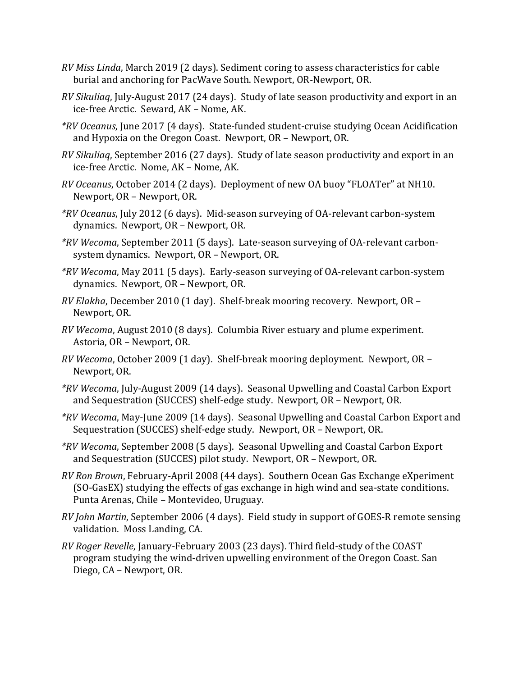- *RV Miss Linda*, March 2019 (2 days). Sediment coring to assess characteristics for cable burial and anchoring for PacWave South. Newport, OR-Newport, OR.
- *RV Sikuliaq*, July-August 2017 (24 days). Study of late season productivity and export in an ice-free Arctic. Seward, AK – Nome, AK.
- *\*RV Oceanus*, June 2017 (4 days). State-funded student-cruise studying Ocean Acidification and Hypoxia on the Oregon Coast. Newport, OR – Newport, OR.
- *RV Sikuliaq*, September 2016 (27 days). Study of late season productivity and export in an ice-free Arctic. Nome, AK – Nome, AK.
- *RV Oceanus*, October 2014 (2 days). Deployment of new OA buoy "FLOATer" at NH10. Newport, OR – Newport, OR.
- *\*RV Oceanus*, July 2012 (6 days). Mid-season surveying of OA-relevant carbon-system dynamics. Newport, OR – Newport, OR.
- *\*RV Wecoma*, September 2011 (5 days). Late-season surveying of OA-relevant carbonsystem dynamics. Newport, OR – Newport, OR.
- *\*RV Wecoma*, May 2011 (5 days). Early-season surveying of OA-relevant carbon-system dynamics. Newport, OR – Newport, OR.
- *RV Elakha*, December 2010 (1 day). Shelf-break mooring recovery. Newport, OR Newport, OR.
- *RV Wecoma*, August 2010 (8 days). Columbia River estuary and plume experiment. Astoria, OR – Newport, OR.
- *RV Wecoma*, October 2009 (1 day). Shelf-break mooring deployment. Newport, OR Newport, OR.
- *\*RV Wecoma*, July-August 2009 (14 days). Seasonal Upwelling and Coastal Carbon Export and Sequestration (SUCCES) shelf-edge study. Newport, OR – Newport, OR.
- *\*RV Wecoma*, May-June 2009 (14 days). Seasonal Upwelling and Coastal Carbon Export and Sequestration (SUCCES) shelf-edge study. Newport, OR – Newport, OR.
- *\*RV Wecoma*, September 2008 (5 days). Seasonal Upwelling and Coastal Carbon Export and Sequestration (SUCCES) pilot study. Newport, OR – Newport, OR.
- *RV Ron Brown*, February-April 2008 (44 days). Southern Ocean Gas Exchange eXperiment (SO-GasEX) studying the effects of gas exchange in high wind and sea-state conditions. Punta Arenas, Chile – Montevideo, Uruguay.
- *RV John Martin*, September 2006 (4 days). Field study in support of GOES-R remote sensing validation. Moss Landing, CA.
- *RV Roger Revelle*, January-February 2003 (23 days). Third field-study of the COAST program studying the wind-driven upwelling environment of the Oregon Coast. San Diego, CA – Newport, OR.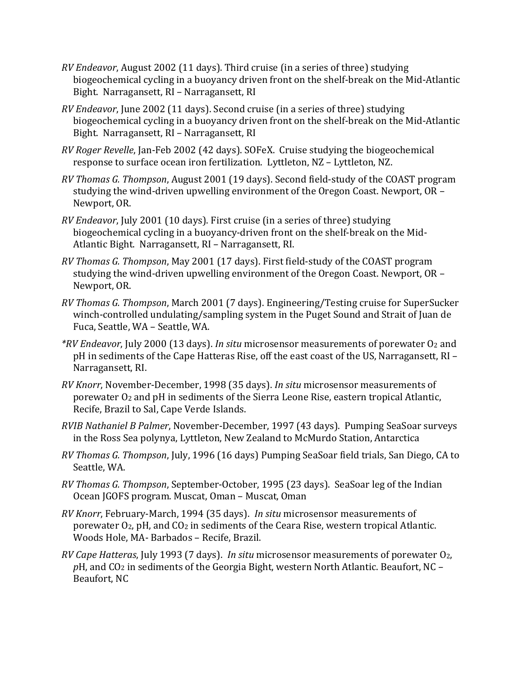- *RV Endeavor*, August 2002 (11 days). Third cruise (in a series of three) studying biogeochemical cycling in a buoyancy driven front on the shelf-break on the Mid-Atlantic Bight. Narragansett, RI – Narragansett, RI
- *RV Endeavor*, June 2002 (11 days). Second cruise (in a series of three) studying biogeochemical cycling in a buoyancy driven front on the shelf-break on the Mid-Atlantic Bight. Narragansett, RI – Narragansett, RI
- *RV Roger Revelle*, Jan-Feb 2002 (42 days). SOFeX. Cruise studying the biogeochemical response to surface ocean iron fertilization. Lyttleton, NZ – Lyttleton, NZ.
- *RV Thomas G. Thompson*, August 2001 (19 days). Second field-study of the COAST program studying the wind-driven upwelling environment of the Oregon Coast. Newport, OR – Newport, OR.
- *RV Endeavor*, July 2001 (10 days). First cruise (in a series of three) studying biogeochemical cycling in a buoyancy-driven front on the shelf-break on the Mid-Atlantic Bight. Narragansett, RI – Narragansett, RI.
- *RV Thomas G. Thompson*, May 2001 (17 days). First field-study of the COAST program studying the wind-driven upwelling environment of the Oregon Coast. Newport, OR – Newport, OR.
- *RV Thomas G. Thompson*, March 2001 (7 days). Engineering/Testing cruise for SuperSucker winch-controlled undulating/sampling system in the Puget Sound and Strait of Juan de Fuca, Seattle, WA – Seattle, WA.
- *\*RV Endeavor*, July 2000 (13 days). *In situ* microsensor measurements of porewater O2 and pH in sediments of the Cape Hatteras Rise, off the east coast of the US, Narragansett, RI – Narragansett, RI.
- *RV Knorr*, November-December, 1998 (35 days). *In situ* microsensor measurements of porewater O2 and pH in sediments of the Sierra Leone Rise, eastern tropical Atlantic, Recife, Brazil to Sal, Cape Verde Islands.
- *RVIB Nathaniel B Palmer*, November-December, 1997 (43 days). Pumping SeaSoar surveys in the Ross Sea polynya, Lyttleton, New Zealand to McMurdo Station, Antarctica
- *RV Thomas G. Thompson*, July, 1996 (16 days) Pumping SeaSoar field trials, San Diego, CA to Seattle, WA.
- *RV Thomas G. Thompson*, September-October, 1995 (23 days). SeaSoar leg of the Indian Ocean JGOFS program. Muscat, Oman – Muscat, Oman
- *RV Knorr*, February-March, 1994 (35 days). *In situ* microsensor measurements of porewater  $O_2$ , pH, and  $CO_2$  in sediments of the Ceara Rise, western tropical Atlantic. Woods Hole, MA- Barbados – Recife, Brazil.
- *RV Cape Hatteras*, July 1993 (7 days). *In situ* microsensor measurements of porewater O2, *p*H, and CO2 in sediments of the Georgia Bight, western North Atlantic. Beaufort, NC – Beaufort, NC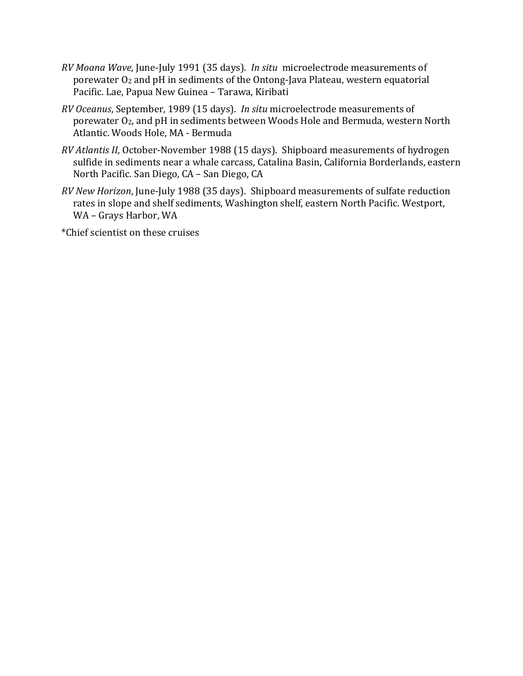- *RV Moana Wave*, June-July 1991 (35 days). *In situ* microelectrode measurements of porewater O2 and pH in sediments of the Ontong-Java Plateau, western equatorial Pacific. Lae, Papua New Guinea – Tarawa, Kiribati
- *RV Oceanus*, September, 1989 (15 days). *In situ* microelectrode measurements of porewater O2, and pH in sediments between Woods Hole and Bermuda, western North Atlantic. Woods Hole, MA - Bermuda
- *RV Atlantis II*, October-November 1988 (15 days). Shipboard measurements of hydrogen sulfide in sediments near a whale carcass, Catalina Basin, California Borderlands, eastern North Pacific. San Diego, CA – San Diego, CA
- *RV New Horizon*, June-July 1988 (35 days). Shipboard measurements of sulfate reduction rates in slope and shelf sediments, Washington shelf, eastern North Pacific. Westport, WA – Grays Harbor, WA

\*Chief scientist on these cruises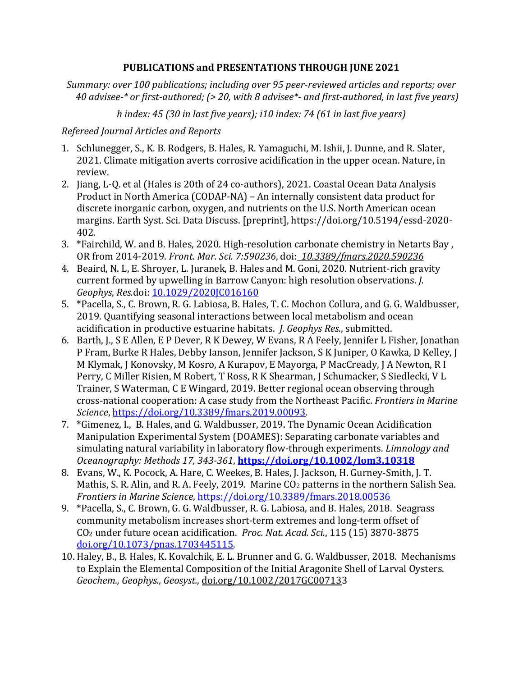### **PUBLICATIONS and PRESENTATIONS THROUGH JUNE 2021**

*Summary: over 100 publications; including over 95 peer-reviewed articles and reports; over 40 advisee-\* or first-authored; (> 20, with 8 advisee\*- and first-authored, in last five years)*

*h index: 45 (30 in last five years); i10 index: 74 (61 in last five years)*

### *Refereed Journal Articles and Reports*

- 1. Schlunegger, S., K. B. Rodgers, B. Hales, R. Yamaguchi, M. Ishii, J. Dunne, and R. Slater, 2021. Climate mitigation averts corrosive acidification in the upper ocean. Nature, in review.
- 2. Jiang, L-Q. et al (Hales is 20th of 24 co-authors), 2021. Coastal Ocean Data Analysis Product in North America (CODAP-NA) – An internally consistent data product for discrete inorganic carbon, oxygen, and nutrients on the U.S. North American ocean margins. Earth Syst. Sci. Data Discuss. [preprint], https://doi.org/10.5194/essd-2020- 402.
- 3. \*Fairchild, W. and B. Hales, 2020. High-resolution carbonate chemistry in Netarts Bay , OR from 2014-2019. *Front. Mar. Sci. 7:590236*, doi: *10.3389/fmars.2020.590236*
- 4. Beaird, N. L, E. Shroyer, L. Juranek, B. Hales and M. Goni, 2020. Nutrient-rich gravity current formed by upwelling in Barrow Canyon: high resolution observations. *J. Geophys, Res.*doi: [10.1029/2020JC016160](https://doi.org/10.1029/2020JC016160)
- 5. \*Pacella, S., C. Brown, R. G. Labiosa, B. Hales, T. C. Mochon Collura, and G. G. Waldbusser, 2019. Quantifying seasonal interactions between local metabolism and ocean acidification in productive estuarine habitats. *J. Geophys Res.*, submitted.
- 6. Barth, J., S E Allen, E P Dever, R K Dewey, W Evans, R A Feely, Jennifer L Fisher, Jonathan P Fram, Burke R Hales, Debby Ianson, Jennifer Jackson, S K Juniper, O Kawka, D Kelley, J M Klymak, J Konovsky, M Kosro, A Kurapov, E Mayorga, P MacCready, J A Newton, R I Perry, C Miller Risien, M Robert, T Ross, R K Shearman, J Schumacker, S Siedlecki, V L Trainer, S Waterman, C E Wingard, 2019. Better regional ocean observing through cross-national cooperation: A case study from the Northeast Pacific. *Frontiers in Marine Science*, [https://doi.org/10.3389/fmars.2019.00093.](https://doi.org/10.3389/fmars.2019.00093)
- 7. \*Gimenez, I., B. Hales, and G. Waldbusser, 2019. The Dynamic Ocean Acidification Manipulation Experimental System (DOAMES): Separating carbonate variables and simulating natural variability in laboratory flow-through experiments. *Limnology and Oceanography: Methods 17, 343-361*, **<https://doi.org/10.1002/lom3.10318>**
- 8. Evans, W., K. Pocock, A. Hare, C. Weekes, B. Hales, J. Jackson, H. Gurney-Smith, J. T. Mathis, S. R. Alin, and R. A. Feely, 2019. Marine CO<sub>2</sub> patterns in the northern Salish Sea. *Frontiers in Marine Science*, <https://doi.org/10.3389/fmars.2018.00536>
- 9. \*Pacella, S., C. Brown, G. G. Waldbusser, R. G. Labiosa, and B. Hales, 2018. Seagrass community metabolism increases short-term extremes and long-term offset of CO2 under future ocean acidification. *Proc. Nat. Acad. Sci.*, 115 (15) 3870-3875 [doi.org/10.1073/pnas.1703445115.](https://doi.org/10.1073/pnas.1703445115)
- 10. Haley, B., B. Hales, K. Kovalchik, E. L. Brunner and G. G. Waldbusser, 2018. Mechanisms to Explain the Elemental Composition of the Initial Aragonite Shell of Larval Oysters. *Geochem., Geophys., Geosyst.*, [doi.org/10.1002/2017GC007133](https://doi.org/10.1002/2017GC007133)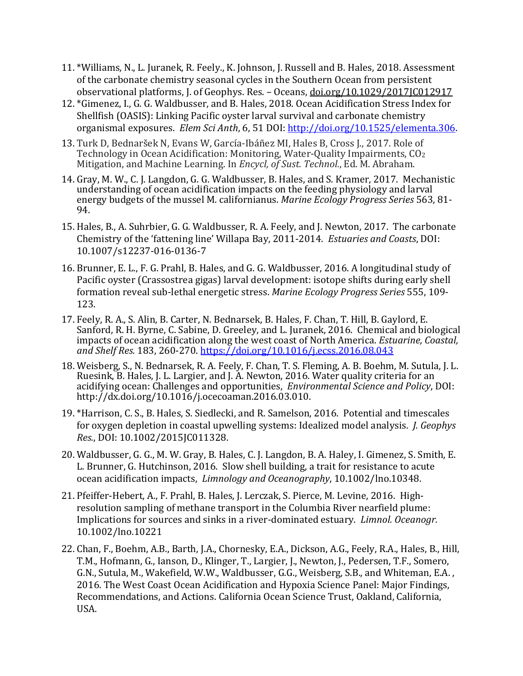- 11. \*Williams, N., L. Juranek, R. Feely., K. Johnson, J. Russell and B. Hales, 2018. Assessment of the carbonate chemistry seasonal cycles in the Southern Ocean from persistent observational platforms, J. of Geophys. Res. – Oceans, [doi.org/10.1029/2017JC012917](https://doi.org/10.1029/2017JC012917)
- 12. \*Gimenez, I., G. G. Waldbusser, and B. Hales, 2018. Ocean Acidification Stress Index for Shellfish (OASIS): Linking Pacific oyster larval survival and carbonate chemistry organismal exposures. *Elem Sci Anth*, 6, 51 DOI: [http://doi.org/10.1525/elementa.306.](http://doi.org/10.1525/elementa.306)
- 13. Turk D, Bednaršek N, Evans W, García-Ibáñez MI, Hales B, Cross J., 2017. Role of Technology in Ocean Acidification: Monitoring, Water-Quality Impairments, CO2 Mitigation, and Machine Learning. In *Encycl, of Sust. Technol.*, Ed. M. Abraham.
- 14. Gray, M. W., C. J. Langdon, G. G. Waldbusser, B. Hales, and S. Kramer, 2017. Mechanistic understanding of ocean acidification impacts on the feeding physiology and larval energy budgets of the mussel M. californianus. *Marine Ecology Progress Series* 563, 81- 94.
- 15. Hales, B., A. Suhrbier, G. G. Waldbusser, R. A. Feely, and J. Newton, 2017. The carbonate Chemistry of the 'fattening line' Willapa Bay, 2011-2014. *Estuaries and Coasts*, DOI: 10.1007/s12237-016-0136-7
- 16. Brunner, E. L., F. G. Prahl, B. Hales, and G. G. Waldbusser, 2016. A longitudinal study of Pacific oyster (Crassostrea gigas) larval development: isotope shifts during early shell formation reveal sub-lethal energetic stress. *Marine Ecology Progress Series* 555, 109- 123.
- 17. Feely, R. A., S. Alin, B. Carter, N. Bednarsek, B. Hales, F. Chan, T. Hill, B. Gaylord, E. Sanford, R. H. Byrne, C. Sabine, D. Greeley, and L. Juranek, 2016. Chemical and biological impacts of ocean acidification along the west coast of North America. *Estuarine, Coastal, and Shelf Res.* 183, 260-270. <https://doi.org/10.1016/j.ecss.2016.08.043>
- 18. Weisberg, S., N. Bednarsek, R. A. Feely, F. Chan, T. S. Fleming, A. B. Boehm, M. Sutula, J. L. Ruesink, B. Hales, J. L. Largier, and J. A. Newton, 2016. Water quality criteria for an acidifying ocean: Challenges and opportunities, *Environmental Science and Policy*, DOI: http://dx.doi.org/10.1016/j.ocecoaman.2016.03.010.
- 19. \*Harrison, C. S., B. Hales, S. Siedlecki, and R. Samelson, 2016. Potential and timescales for oxygen depletion in coastal upwelling systems: Idealized model analysis. *J. Geophys Res.*, DOI: 10.1002/2015JC011328.
- 20. Waldbusser, G. G., M. W. Gray, B. Hales, C. J. Langdon, B. A. Haley, I. Gimenez, S. Smith, E. L. Brunner, G. Hutchinson, 2016. Slow shell building, a trait for resistance to acute ocean acidification impacts, *Limnology and Oceanography*, 10.1002/lno.10348.
- 21. Pfeiffer-Hebert, A., F. Prahl, B. Hales, J. Lerczak, S. Pierce, M. Levine, 2016. Highresolution sampling of methane transport in the Columbia River nearfield plume: Implications for sources and sinks in a river-dominated estuary. *Limnol. Oceanogr.* 10.1002/lno.10221
- 22. Chan, F., Boehm, A.B., Barth, J.A., Chornesky, E.A., Dickson, A.G., Feely, R.A., Hales, B., Hill, T.M., Hofmann, G., Ianson, D., Klinger, T., Largier, J., Newton, J., Pedersen, T.F., Somero, G.N., Sutula, M., Wakefield, W.W., Waldbusser, G.G., Weisberg, S.B., and Whiteman, E.A. , 2016. The West Coast Ocean Acidification and Hypoxia Science Panel: Major Findings, Recommendations, and Actions. California Ocean Science Trust, Oakland, California, USA.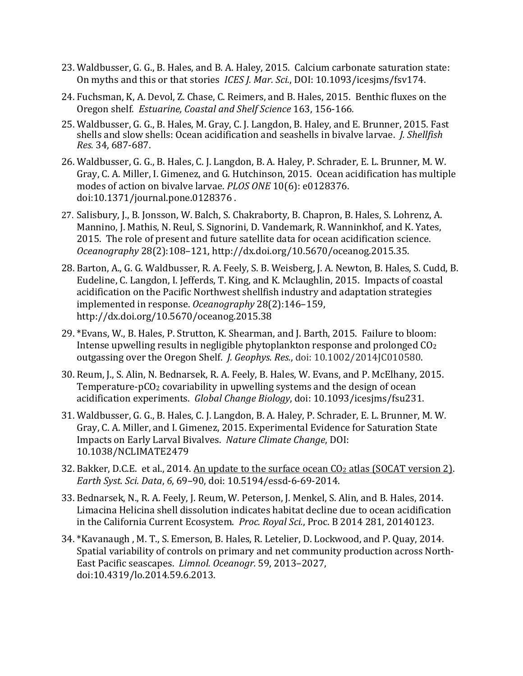- 23. Waldbusser, G. G., B. Hales, and B. A. Haley, 2015. Calcium carbonate saturation state: On myths and this or that stories *ICES J. Mar. Sci.*, DOI: 10.1093/icesjms/fsv174.
- 24. Fuchsman, K, A. Devol, Z. Chase, C. Reimers, and B. Hales, 2015. Benthic fluxes on the Oregon shelf. *Estuarine, Coastal and Shelf Science* 163, 156-166*.*
- 25. Waldbusser, G. G., B. Hales, M. Gray, C. J. Langdon, B. Haley, and E. Brunner, 2015. Fast shells and slow shells: Ocean acidification and seashells in bivalve larvae. *J. Shellfish Res.* 34, 687-687.
- 26. Waldbusser, G. G., B. Hales, C. J. Langdon, B. A. Haley, P. Schrader, E. L. Brunner, M. W. Gray, C. A. Miller, I. Gimenez, and G. Hutchinson, 2015. Ocean acidification has multiple modes of action on bivalve larvae. *PLOS ONE* 10(6): e0128376. doi:10.1371/journal.pone.0128376 .
- 27. Salisbury, J., B. Jonsson, W. Balch, S. Chakraborty, B. Chapron, B. Hales, S. Lohrenz, A. Mannino, J. Mathis, N. Reul, S. Signorini, D. Vandemark, R. Wanninkhof, and K. Yates, 2015. The role of present and future satellite data for ocean acidification science. *Oceanography* 28(2):108–121, http://dx.doi.org/10.5670/oceanog.2015.35.
- 28. Barton, A., G. G. Waldbusser, R. A. Feely, S. B. Weisberg, J. A. Newton, B. Hales, S. Cudd, B. Eudeline, C. Langdon, I. Jefferds, T. King, and K. Mclaughlin, 2015. Impacts of coastal acidification on the Pacific Northwest shellfish industry and adaptation strategies implemented in response. *Oceanography* 28(2):146–159, http://dx.doi.org/10.5670/oceanog.2015.38
- 29. \*Evans, W., B. Hales, P. Strutton, K. Shearman, and J. Barth, 2015. Failure to bloom: Intense upwelling results in negligible phytoplankton response and prolonged CO2 outgassing over the Oregon Shelf. *J. Geophys. Res.*, doi: 10.1002/2014JC010580.
- 30. Reum, J., S. Alin, N. Bednarsek, R. A. Feely, B. Hales, W. Evans, and P. McElhany, 2015. Temperature-pCO<sub>2</sub> covariability in upwelling systems and the design of ocean acidification experiments. *Global Change Biology*, doi: 10.1093/icesjms/fsu231.
- 31. Waldbusser, G. G., B. Hales, C. J. Langdon, B. A. Haley, P. Schrader, E. L. Brunner, M. W. Gray, C. A. Miller, and I. Gimenez, 2015. Experimental Evidence for Saturation State Impacts on Early Larval Bivalves. *Nature Climate Change*, DOI: 10.1038/NCLIMATE2479
- 32. Bakker, D.C.E. et al., 2014. An update to the surface ocean CO<sub>2</sub> atlas (SOCAT version 2). *Earth Syst. Sci. Data*, *6*, 69–90, doi: 10.5194/essd-6-69-2014.
- 33. Bednarsek, N., R. A. Feely, J. Reum, W. Peterson, J. Menkel, S. Alin, and B. Hales, 2014. Limacina Helicina shell dissolution indicates habitat decline due to ocean acidification in the California Current Ecosystem. *Proc. Royal Sci.*, Proc. B 2014 281, 20140123.
- 34. \*Kavanaugh , M. T., S. Emerson, B. Hales, R. Letelier, D. Lockwood, and P. Quay, 2014. Spatial variability of controls on primary and net community production across North-East Pacific seascapes. *Limnol. Oceanogr.* 59, 2013–2027, doi:10.4319/lo.2014.59.6.2013.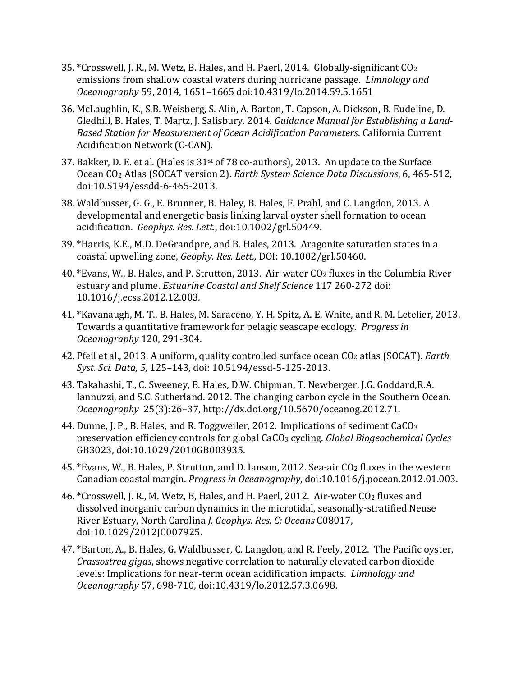- 35.  $*C$ rosswell, J. R., M. Wetz, B. Hales, and H. Paerl, 2014. Globally-significant  $C_2$ emissions from shallow coastal waters during hurricane passage. *Limnology and Oceanography* 59, 2014, 1651–1665 doi:10.4319/lo.2014.59.5.1651
- 36. McLaughlin, K., S.B. Weisberg, S. Alin, A. Barton, T. Capson, A. Dickson, B. Eudeline, D. Gledhill, B. Hales, T. Martz, J. Salisbury. 2014. *Guidance Manual for Establishing a Land-Based Station for Measurement of Ocean Acidification Parameters*. California Current Acidification Network (C-CAN).
- 37. Bakker, D. E. et al. (Hales is 31st of 78 co-authors), 2013. An update to the Surface Ocean CO2 Atlas (SOCAT version 2). *Earth System Science Data Discussions*, 6, 465-512, doi:10.5194/essdd-6-465-2013.
- 38. Waldbusser, G. G., E. Brunner, B. Haley, B. Hales, F. Prahl, and C. Langdon, 2013. A developmental and energetic basis linking larval oyster shell formation to ocean acidification. *Geophys. Res. Lett.*, doi:10.1002/grl.50449.
- 39. \*Harris, K.E., M.D. DeGrandpre, and B. Hales, 2013. Aragonite saturation states in a coastal upwelling zone, *Geophy. Res. Lett.,* DOI: 10.1002/grl.50460.
- 40. \*Evans, W., B. Hales, and P. Strutton, 2013. Air-water CO<sub>2</sub> fluxes in the Columbia River estuary and plume. *Estuarine Coastal and Shelf Science* 117 260-272 doi: 10.1016/j.ecss.2012.12.003*.*
- 41. \*Kavanaugh, M. T., B. Hales, M. Saraceno, Y. H. Spitz, A. E. White, and R. M. Letelier, 2013. Towards a quantitative framework for pelagic seascape ecology. *Progress in Oceanography* 120, 291-304.
- 42. Pfeil et al., 2013. [A uniform, quality controlled surface ocean CO2](http://www.pmel.noaa.gov/public/pmel/publications-search/search_abstract.php?fmContributionNum=3878) atlas (SOCAT). *Earth Syst. Sci. Data*, *5*, 125–143, doi: 10.5194/essd-5-125-2013.
- 43. Takahashi, T., C. Sweeney, B. Hales, D.W. Chipman, T. Newberger, J.G. Goddard,R.A. Iannuzzi, and S.C. Sutherland. 2012. The changing carbon cycle in the Southern Ocean. *Oceanography* 25(3):26–37, http://dx.doi.org/10.5670/oceanog.2012.71.
- 44. Dunne, J. P., B. Hales, and R. Toggweiler, 2012. Implications of sediment CaCO3 preservation efficiency controls for global CaCO3 cycling. *Global Biogeochemical Cycles* GB3023, doi:10.1029/2010GB003935*.*
- 45. \*Evans, W., B. Hales, P. Strutton, and D. Ianson, 2012. Sea-air CO<sub>2</sub> fluxes in the western Canadian coastal margin. *Progress in Oceanography*, doi:10.1016/j.pocean.2012.01.003.
- 46. \*Crosswell, J. R., M. Wetz, B, Hales, and H. Paerl, 2012. Air-water CO<sub>2</sub> fluxes and dissolved inorganic carbon dynamics in the microtidal, seasonally-stratified Neuse River Estuary, North Carolina *J. Geophys. Res. C: Oceans* C08017, doi:10.1029/2012JC007925.
- 47. \*Barton, A., B. Hales, G. Waldbusser, C. Langdon, and R. Feely, 2012. The Pacific oyster, *Crassostrea gigas*, shows negative correlation to naturally elevated carbon dioxide levels: Implications for near-term ocean acidification impacts. *Limnology and Oceanography* 57, 698-710, doi:10.4319/lo.2012.57.3.0698.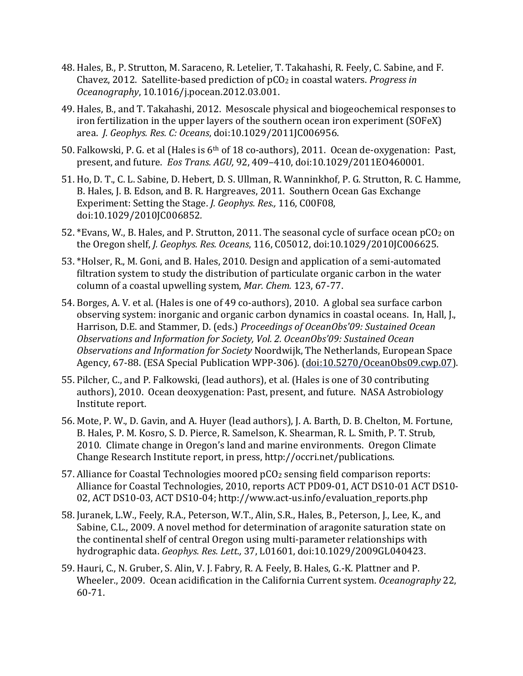- 48. Hales, B., P. Strutton, M. Saraceno, R. Letelier, T. Takahashi, R. Feely, C. Sabine, and F. Chavez, 2012. Satellite-based prediction of pCO2 in coastal waters. *Progress in Oceanography*, 10.1016/j.pocean.2012.03.001.
- 49. Hales, B., and T. Takahashi, 2012. Mesoscale physical and biogeochemical responses to iron fertilization in the upper layers of the southern ocean iron experiment (SOFeX) area. *J. Geophys. Res. C: Oceans*, doi:10.1029/2011JC006956.
- 50. Falkowski, P. G. et al (Hales is 6th of 18 co-authors), 2011. Ocean de-oxygenation: Past, present, and future. *Eos Trans. AGU,* 92, 409–410, doi:10.1029/2011EO460001*.*
- 51. Ho, D. T., C. L. Sabine, D. Hebert, D. S. Ullman, R. Wanninkhof, P. G. Strutton, R. C. Hamme, B. Hales, J. B. Edson, and B. R. Hargreaves, 2011. Southern Ocean Gas Exchange Experiment: Setting the Stage. *J. Geophys. Res.,* 116, C00F08, doi:10.1029/2010JC006852*.*
- 52. \*Evans, W., B. Hales, and P. Strutton, 2011. The seasonal cycle of surface ocean pCO2 on the Oregon shelf, *J. Geophys. Res. Oceans*, 116, C05012, doi:10.1029/2010JC006625.
- 53. \*Holser, R., M. Goni, and B. Hales, 2010. Design and application of a semi-automated filtration system to study the distribution of particulate organic carbon in the water column of a coastal upwelling system, *Mar. Chem.* 123, 67-77.
- 54. Borges, A. V. et al. (Hales is one of 49 co-authors), 2010. A global sea surface carbon observing system: inorganic and organic carbon dynamics in coastal oceans. In, Hall, J., Harrison, D.E. and Stammer, D. (eds.) *Proceedings of OceanObs'09: Sustained Ocean Observations and Information for Society, Vol. 2. OceanObs'09: Sustained Ocean Observations and Information for Society* Noordwijk, The Netherlands, European Space Agency, 67-88. (ESA Special Publication WPP-306). [\(doi:10.5270/OceanObs09.cwp.07\)](http://dx.doi.org/10.5270/OceanObs09.cwp.07).
- 55. Pilcher, C., and P. Falkowski, (lead authors), et al. (Hales is one of 30 contributing authors), 2010. Ocean deoxygenation: Past, present, and future. NASA Astrobiology Institute report.
- 56. Mote, P. W., D. Gavin, and A. Huyer (lead authors), J. A. Barth, D. B. Chelton, M. Fortune, B. Hales, P. M. Kosro, S. D. Pierce, R. Samelson, K. Shearman, R. L. Smith, P. T. Strub, 2010. Climate change in Oregon's land and marine environments. Oregon Climate Change Research Institute report, in press, http://occri.net/publications.
- 57. Alliance for Coastal Technologies moored pCO2 sensing field comparison reports: Alliance for Coastal Technologies, 2010, reports ACT PD09-01, ACT DS10-01 ACT DS10- 02, ACT DS10-03, ACT DS10-04; http://www.act-us.info/evaluation\_reports.php
- 58. Juranek, L.W., Feely, R.A., Peterson, W.T., Alin, S.R., Hales, B., Peterson, J., Lee, K., and Sabine, C.L., 2009. A novel method for determination of aragonite saturation state on the continental shelf of central Oregon using multi-parameter relationships with hydrographic data. *Geophys. Res. Lett.,* 37, L01601, doi:10.1029/2009GL040423.
- 59. Hauri, C., N. Gruber, S. Alin, V. J. Fabry, R. A. Feely, B. Hales, G.-K. Plattner and P. Wheeler., 2009. Ocean acidification in the California Current system. *Oceanography* 22, 60-71.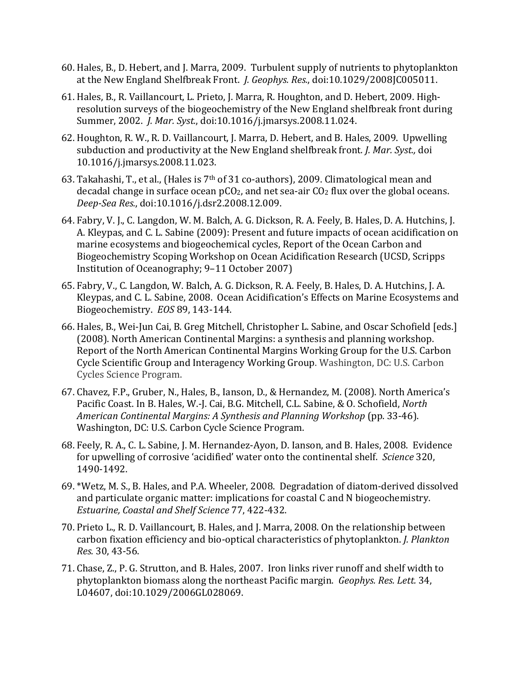- 60. Hales, B., D. Hebert, and J. Marra, 2009. Turbulent supply of nutrients to phytoplankton at the New England Shelfbreak Front. *J. Geophys. Res.*, doi:10.1029/2008JC005011.
- 61. Hales, B., R. Vaillancourt, L. Prieto, J. Marra, R. Houghton, and D. Hebert, 2009. Highresolution surveys of the biogeochemistry of the New England shelfbreak front during Summer, 2002. *J. Mar. Syst.*, doi:10.1016/j.jmarsys.2008.11.024.
- 62. Houghton, R. W., R. D. Vaillancourt, J. Marra, D. Hebert, and B. Hales, 2009. Upwelling subduction and productivity at the New England shelfbreak front*. J. Mar. Syst.,* doi 10.1016/j.jmarsys.2008.11.023.
- 63. Takahashi, T., et al., (Hales is 7th of 31 co-authors), 2009. Climatological mean and decadal change in surface ocean  $pCO<sub>2</sub>$ , and net sea-air  $CO<sub>2</sub>$  flux over the global oceans. *Deep-Sea Res.*, doi:10.1016/j.dsr2.2008.12.009.
- 64. Fabry, V. J., C. Langdon, W. M. Balch, A. G. Dickson, R. A. Feely, B. Hales, D. A. Hutchins, J. A. Kleypas, and C. L. Sabine (2009): Present and future impacts of ocean acidification on marine ecosystems and biogeochemical cycles, Report of the Ocean Carbon and Biogeochemistry Scoping Workshop on Ocean Acidification Research (UCSD, Scripps Institution of Oceanography; 9–11 October 2007)
- 65. Fabry, V., C. Langdon, W. Balch, A. G. Dickson, R. A. Feely, B. Hales, D. A. Hutchins, J. A. Kleypas, and C. L. Sabine, 2008. Ocean Acidification's Effects on Marine Ecosystems and Biogeochemistry. *EOS* 89, 143-144.
- 66. Hales, B., Wei-Jun Cai, B. Greg Mitchell, Christopher L. Sabine, and Oscar Schofield [eds.] (2008). [North American Continental Margins: a synthesis and planning workshop.](http://www.us-ocb.org/publications/NACM_small.pdf)  [Report of the North American Continental Margins Working Group for the U.S. Carbon](http://www.us-ocb.org/publications/NACM_small.pdf)  [Cycle Scientific Group and Interagency Working Group.](http://www.us-ocb.org/publications/NACM_small.pdf) Washington, DC: U.S. Carbon Cycles Science Program.
- 67. Chavez, F.P., Gruber, N., Hales, B., Ianson, D., & Hernandez, M. (2008). North America's Pacific Coast. In B. Hales, W.-J. Cai, B.G. Mitchell, C.L. Sabine, & O. Schofield, *North American Continental Margins: A Synthesis and Planning Workshop* (pp. 33-46). Washington, DC: U.S. Carbon Cycle Science Program.
- 68. Feely, R. A., C. L. Sabine, J. M. Hernandez-Ayon, D. Ianson, and B. Hales, 2008. Evidence for upwelling of corrosive 'acidified' water onto the continental shelf. *Science* 320, 1490-1492.
- 69. \*Wetz, M. S., B. Hales, and P.A. Wheeler, 2008. Degradation of diatom-derived dissolved and particulate organic matter: implications for coastal C and N biogeochemistry. *Estuarine, Coastal and Shelf Science* 77, 422-432.
- 70. Prieto L., R. D. Vaillancourt, B. Hales, and J. Marra, 2008. On the relationship between carbon fixation efficiency and bio-optical characteristics of phytoplankton. *J. Plankton Res.* 30, 43-56.
- 71. Chase, Z., P. G. Strutton, and B. Hales, 2007. Iron links river runoff and shelf width to phytoplankton biomass along the northeast Pacific margin. *Geophys. Res. Lett.* 34, L04607, doi:10.1029/2006GL028069.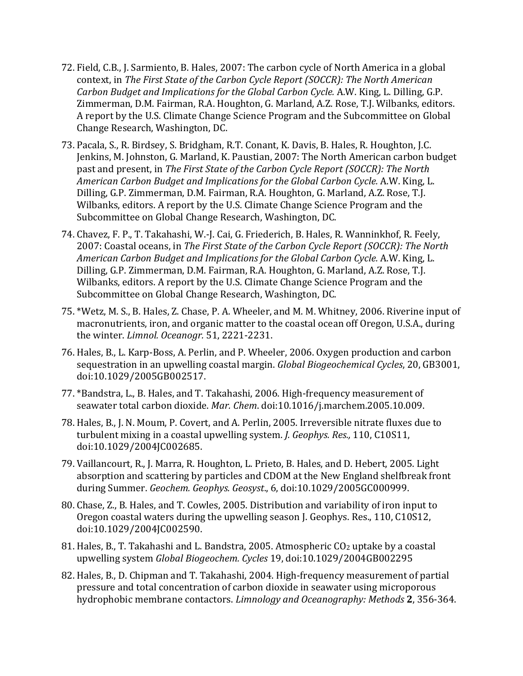- 72. Field, C.B., J. Sarmiento, B. Hales, 2007: The carbon cycle of North America in a global context, in *The First State of the Carbon Cycle Report (SOCCR): The North American Carbon Budget and Implications for the Global Carbon Cycle.* A.W. King, L. Dilling, G.P. Zimmerman, D.M. Fairman, R.A. Houghton, G. Marland, A.Z. Rose, T.J. Wilbanks, editors. A report by the U.S. Climate Change Science Program and the Subcommittee on Global Change Research, Washington, DC.
- 73. Pacala, S., R. Birdsey, S. Bridgham, R.T. Conant, K. Davis, B. Hales, R. Houghton, J.C. Jenkins, M. Johnston, G. Marland, K. Paustian, 2007: The North American carbon budget past and present, in *The First State of the Carbon Cycle Report (SOCCR): The North American Carbon Budget and Implications for the Global Carbon Cycle.* A.W. King, L. Dilling, G.P. Zimmerman, D.M. Fairman, R.A. Houghton, G. Marland, A.Z. Rose, T.J. Wilbanks, editors. A report by the U.S. Climate Change Science Program and the Subcommittee on Global Change Research, Washington, DC.
- 74. Chavez, F. P., T. Takahashi, W.-J. Cai, G. Friederich, B. Hales, R. Wanninkhof, R. Feely, 2007: Coastal oceans, in *The First State of the Carbon Cycle Report (SOCCR): The North American Carbon Budget and Implications for the Global Carbon Cycle.* A.W. King, L. Dilling, G.P. Zimmerman, D.M. Fairman, R.A. Houghton, G. Marland, A.Z. Rose, T.J. Wilbanks, editors. A report by the U.S. Climate Change Science Program and the Subcommittee on Global Change Research, Washington, DC.
- 75. \*Wetz, M. S., B. Hales, Z. Chase, P. A. Wheeler, and M. M. Whitney, 2006. Riverine input of macronutrients, iron, and organic matter to the coastal ocean off Oregon, U.S.A., during the winter. *Limnol. Oceanogr.* 51, 2221-2231.
- 76. Hales, B., L. Karp-Boss, A. Perlin, and P. Wheeler, 2006. Oxygen production and carbon sequestration in an upwelling coastal margin. *Global Biogeochemical Cycles*, 20, GB3001, doi:10.1029/2005GB002517.
- 77. \*Bandstra, L., B. Hales, and T. Takahashi, 2006. High-frequency measurement of seawater total carbon dioxide. *Mar. Chem*. doi:10.1016/j.marchem.2005.10.009.
- 78. Hales, B., J. N. Moum, P. Covert, and A. Perlin, 2005. Irreversible nitrate fluxes due to turbulent mixing in a coastal upwelling system. *J. Geophys. Res.,* 110, C10S11, doi:10.1029/2004JC002685.
- 79. Vaillancourt, R., J. Marra, R. Houghton, L. Prieto, B. Hales, and D. Hebert, 2005. Light absorption and scattering by particles and CDOM at the New England shelfbreak front during Summer. *Geochem. Geophys. Geosyst*., 6, doi:10.1029/2005GC000999.
- 80. Chase, Z., B. Hales, and T. Cowles, 2005. Distribution and variability of iron input to Oregon coastal waters during the upwelling season J. Geophys. Res., 110, C10S12, doi:10.1029/2004JC002590.
- 81. Hales, B., T. Takahashi and L. Bandstra, 2005. Atmospheric CO2 uptake by a coastal upwelling system *Global Biogeochem. Cycles* 19, doi:10.1029/2004GB002295
- 82. Hales, B., D. Chipman and T. Takahashi, 2004. High-frequency measurement of partial pressure and total concentration of carbon dioxide in seawater using microporous hydrophobic membrane contactors. *Limnology and Oceanography: Methods* **2**, 356-364.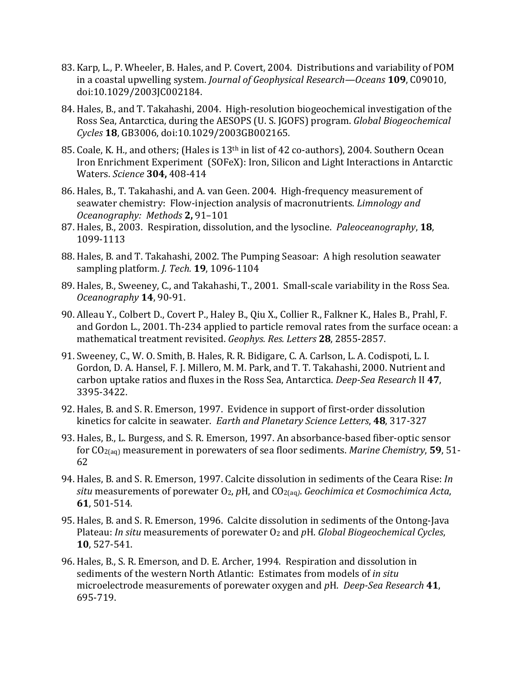- 83. Karp, L., P. Wheeler, B. Hales, and P. Covert, 2004. Distributions and variability of POM in a coastal upwelling system. *Journal of Geophysical Research—Oceans* **109**, C09010, doi:10.1029/2003JC002184.
- 84. Hales, B., and T. Takahashi, 2004. High-resolution biogeochemical investigation of the Ross Sea, Antarctica, during the AESOPS (U. S. JGOFS) program. *Global Biogeochemical Cycles* **18**, GB3006, doi:10.1029/2003GB002165*.*
- 85. Coale, K. H., and others; (Hales is 13<sup>th</sup> in list of 42 co-authors), 2004. Southern Ocean Iron Enrichment Experiment (SOFeX): Iron, Silicon and Light Interactions in Antarctic Waters. *Science* **304,** 408-414
- 86. Hales, B., T. Takahashi, and A. van Geen. 2004. High-frequency measurement of seawater chemistry: Flow-injection analysis of macronutrients. *Limnology and Oceanography: Methods* **2,** 91–101
- 87. Hales, B., 2003. Respiration, dissolution, and the lysocline. *Paleoceanography*, **18**, 1099-1113
- 88. Hales, B. and T. Takahashi, 2002. The Pumping Seasoar: A high resolution seawater sampling platform. *J. Tech.* **19**, 1096-1104
- 89. Hales, B., Sweeney, C., and Takahashi, T., 2001. Small-scale variability in the Ross Sea. *Oceanography* **14**, 90-91.
- 90. Alleau Y., Colbert D., Covert P., Haley B., Qiu X., Collier R., Falkner K., Hales B., Prahl, F. and Gordon L., 2001. Th-234 applied to particle removal rates from the surface ocean: a mathematical treatment revisited. *Geophys. Res. Letters* **28**, 2855-2857.
- 91. Sweeney, C., W. O. Smith, B. Hales, R. R. Bidigare, C. A. Carlson, L. A. Codispoti, L. I. Gordon, D. A. Hansel, F. J. Millero, M. M. Park, and T. T. Takahashi, 2000. Nutrient and carbon uptake ratios and fluxes in the Ross Sea, Antarctica. *Deep-Sea Research* II **47**, 3395-3422.
- 92. Hales, B. and S. R. Emerson, 1997. Evidence in support of first-order dissolution kinetics for calcite in seawater. *Earth and Planetary Science Letters*, **48**, 317-327
- 93. Hales, B., L. Burgess, and S. R. Emerson, 1997. An absorbance-based fiber-optic sensor for CO2(aq) measurement in porewaters of sea floor sediments. *Marine Chemistry*, **59**, 51- 62
- 94. Hales, B. and S. R. Emerson, 1997. Calcite dissolution in sediments of the Ceara Rise: *In situ* measurements of porewater O2, *p*H, and CO2(aq*)*. *Geochimica et Cosmochimica Acta*, **61**, 501-514*.*
- 95. Hales, B. and S. R. Emerson, 1996. Calcite dissolution in sediments of the Ontong-Java Plateau: *In situ* measurements of porewater O2 and *p*H. *Global Biogeochemical Cycles*, **10**, 527-541.
- 96. Hales, B., S. R. Emerson, and D. E. Archer, 1994. Respiration and dissolution in sediments of the western North Atlantic: Estimates from models of *in situ* microelectrode measurements of porewater oxygen and *p*H. *Deep-Sea Research* **41**, 695-719.